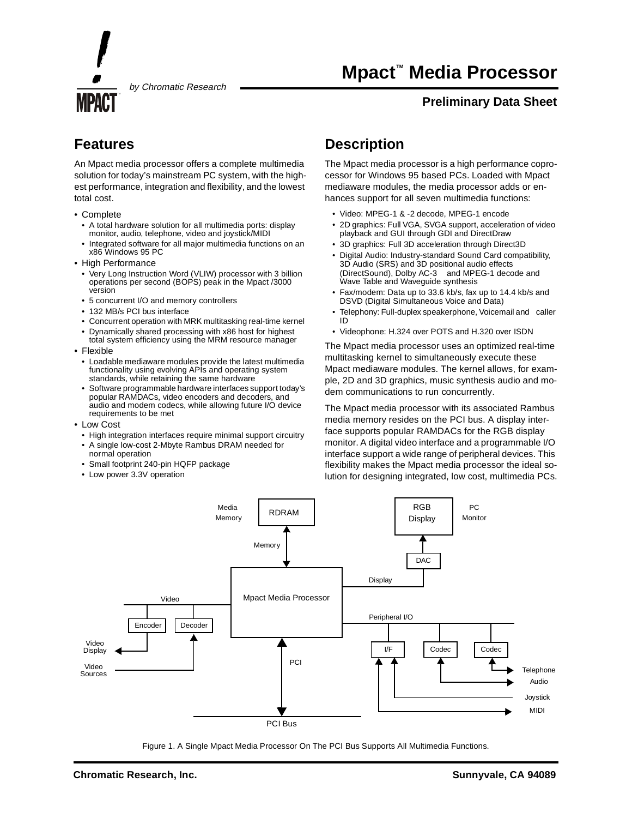TM

by Chromatic Research

# **Mpact™ Media Processor**

### **Preliminary Data Sheet**

## **Features**

An Mpact media processor offers a complete multimedia solution for today's mainstream PC system, with the highest performance, integration and flexibility, and the lowest total cost.

- Complete
	- A total hardware solution for all multimedia ports: display monitor, audio, telephone, video and joystick/MIDI
	- Integrated software for all major multimedia functions on an x86 Windows 95 PC
- High Performance
	- Very Long Instruction Word (VLIW) processor with 3 billion operations per second (BOPS) peak in the Mpact /3000 version
	- 5 concurrent I/O and memory controllers
	- 132 MB/s PCI bus interface
	- Concurrent operation with MRK multitasking real-time kernel
	- Dynamically shared processing with x86 host for highest
- total system efficiency using the MRM resource manager • Flexible
- Loadable mediaware modules provide the latest multimedia functionality using evolving APIs and operating system standards, while retaining the same hardware
- Software programmable hardware interfaces support today's popular RAMDACs, video encoders and decoders, and audio and modem codecs, while allowing future I/O device requirements to be met
- Low Cost
	- High integration interfaces require minimal support circuitry
	- A single low-cost 2-Mbyte Rambus DRAM needed for normal operation
	- Small footprint 240-pin HQFP package
	- Low power 3.3V operation

## **Description**

The Mpact media processor is a high performance coprocessor for Windows 95 based PCs. Loaded with Mpact mediaware modules, the media processor adds or enhances support for all seven multimedia functions:

- Video: MPEG-1 & -2 decode, MPEG-1 encode
- 2D graphics: Full VGA, SVGA support, acceleration of video playback and GUI through GDI and DirectDraw
- 3D graphics: Full 3D acceleration through Direct3D
- Digital Audio: Industry-standard Sound Card compatibility, 3D Audio (SRS) and 3D positional audio effects (DirectSound), Dolby AC-3™ and MPEG-1 decode and Wave Table and Waveguide synthesis
- Fax/modem: Data up to 33.6 kb/s, fax up to 14.4 kb/s and DSVD (Digital Simultaneous Voice and Data)
- Telephony: Full-duplex speakerphone, Voicemail and caller ID
- Videophone: H.324 over POTS and H.320 over ISDN

The Mpact media processor uses an optimized real-time multitasking kernel to simultaneously execute these Mpact mediaware modules. The kernel allows, for example, 2D and 3D graphics, music synthesis audio and modem communications to run concurrently.

The Mpact media processor with its associated Rambus media memory resides on the PCI bus. A display interface supports popular RAMDACs for the RGB display monitor. A digital video interface and a programmable I/O interface support a wide range of peripheral devices. This flexibility makes the Mpact media processor the ideal solution for designing integrated, low cost, multimedia PCs.



Figure 1. A Single Mpact Media Processor On The PCI Bus Supports All Multimedia Functions.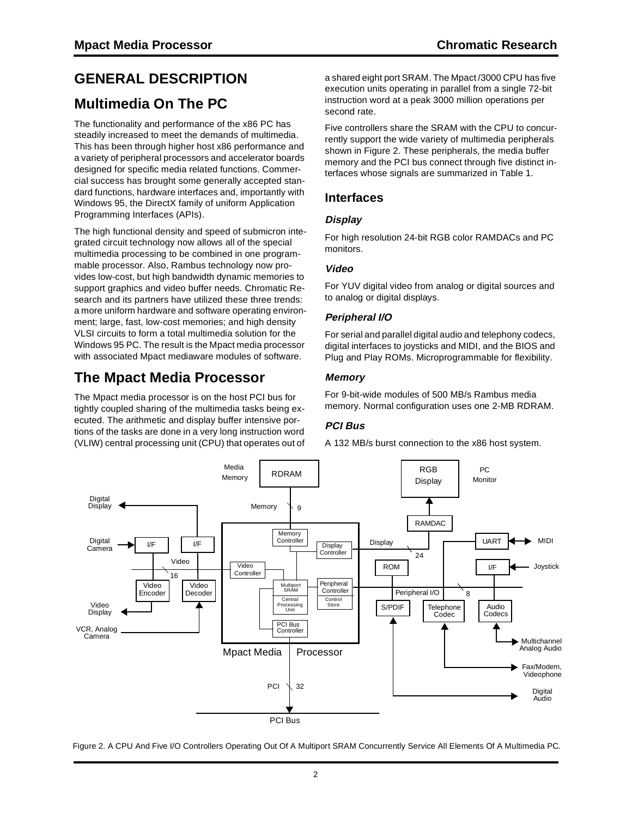# **GENERAL DESCRIPTION**

## **Multimedia On The PC**

The functionality and performance of the x86 PC has steadily increased to meet the demands of multimedia. This has been through higher host x86 performance and a variety of peripheral processors and accelerator boards designed for specific media related functions. Commercial success has brought some generally accepted standard functions, hardware interfaces and, importantly with Windows 95, the DirectX family of uniform Application Programming Interfaces (APIs).

The high functional density and speed of submicron integrated circuit technology now allows all of the special multimedia processing to be combined in one programmable processor. Also, Rambus technology now provides low-cost, but high bandwidth dynamic memories to support graphics and video buffer needs. Chromatic Research and its partners have utilized these three trends: a more uniform hardware and software operating environment; large, fast, low-cost memories; and high density VLSI circuits to form a total multimedia solution for the Windows 95 PC. The result is the Mpact media processor with associated Mpact mediaware modules of software.

## **The Mpact Media Processor**

The Mpact media processor is on the host PCI bus for tightly coupled sharing of the multimedia tasks being executed. The arithmetic and display buffer intensive portions of the tasks are done in a very long instruction word (VLIW) central processing unit (CPU) that operates out of a shared eight port SRAM. The Mpact /3000 CPU has five execution units operating in parallel from a single 72-bit instruction word at a peak 3000 million operations per second rate.

Five controllers share the SRAM with the CPU to concurrently support the wide variety of multimedia peripherals shown in Figure 2. These peripherals, the media buffer memory and the PCI bus connect through five distinct interfaces whose signals are summarized in Table 1.

### **Interfaces**

### **Display**

For high resolution 24-bit RGB color RAMDACs and PC monitors.

### **Video**

For YUV digital video from analog or digital sources and to analog or digital displays.

### **Peripheral I/O**

For serial and parallel digital audio and telephony codecs, digital interfaces to joysticks and MIDI, and the BIOS and Plug and Play ROMs. Microprogrammable for flexibility.

### **Memory**

For 9-bit-wide modules of 500 MB/s Rambus media memory. Normal configuration uses one 2-MB RDRAM.

### **PCI Bus**

A 132 MB/s burst connection to the x86 host system.



Figure 2. A CPU And Five I/O Controllers Operating Out Of A Multiport SRAM Concurrently Service All Elements Of A Multimedia PC.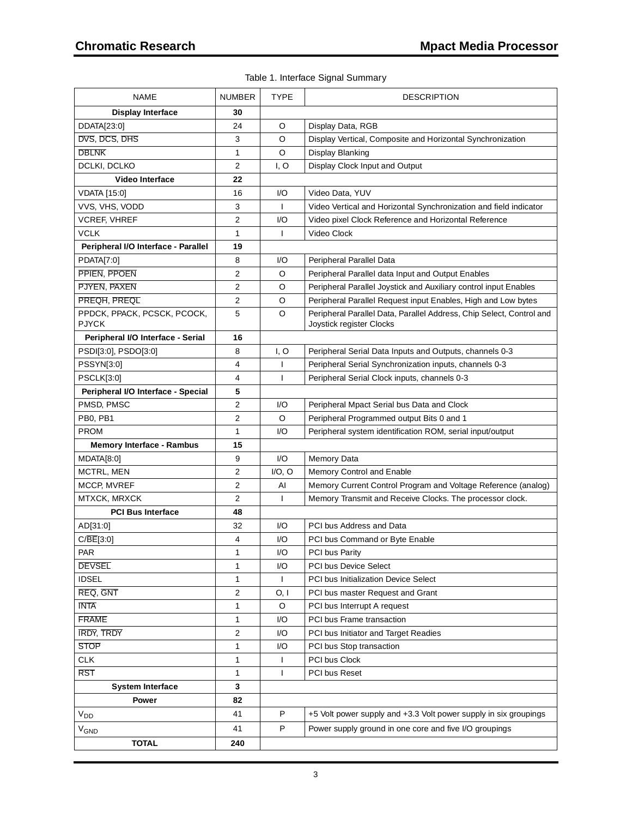### Table 1. Interface Signal Summary

| <b>Display Interface</b><br>30<br>DDATA[23:0]<br>24<br>O<br>Display Data, RGB<br>DVS, DCS, DHS<br>3<br>O<br>Display Vertical, Composite and Horizontal Synchronization<br><b>DBLNK</b><br>O<br><b>Display Blanking</b><br>1<br>DCLKI, DCLKO<br>$\overline{2}$<br>I, O<br>Display Clock Input and Output<br>22<br><b>Video Interface</b><br><b>VDATA</b> [15:0]<br>16<br>I/O<br>Video Data, YUV<br>VVS, VHS, VODD<br>3<br>$\mathbf{I}$<br>Video Vertical and Horizontal Synchronization and field indicator<br><b>VCREF, VHREF</b><br>$\overline{2}$<br>I/O<br>Video pixel Clock Reference and Horizontal Reference<br><b>VCLK</b><br>$\mathbf{1}$<br>$\mathsf{I}$<br>Video Clock<br>Peripheral I/O Interface - Parallel<br>19<br><b>PDATA[7:0]</b><br>8<br>I/O<br>Peripheral Parallel Data<br>$\overline{2}$<br>PPIEN, PPOEN<br>O<br>Peripheral Parallel data Input and Output Enables<br>PJYEN, PAXEN<br>2<br>O<br>Peripheral Parallel Joystick and Auxiliary control input Enables<br>PREQH, PREQL<br>$\mathbf{2}$<br>O<br>Peripheral Parallel Request input Enables, High and Low bytes<br>PPDCK, PPACK, PCSCK, PCOCK,<br>5<br>O<br>Peripheral Parallel Data, Parallel Address, Chip Select, Control and<br><b>PJYCK</b><br>Joystick register Clocks<br>Peripheral I/O Interface - Serial<br>16<br>PSDI[3:0], PSDO[3:0]<br>8<br>I, O<br>Peripheral Serial Data Inputs and Outputs, channels 0-3<br>PSSYN[3:0]<br>4<br>Peripheral Serial Synchronization inputs, channels 0-3<br>ı<br>4<br><b>PSCLK[3:0]</b><br>Peripheral Serial Clock inputs, channels 0-3<br>J.<br>5<br>Peripheral I/O Interface - Special<br>$\overline{\mathbf{c}}$<br>PMSD, PMSC<br>I/O<br>Peripheral Mpact Serial bus Data and Clock<br>PB0, PB1<br>$\overline{2}$<br>O<br>Peripheral Programmed output Bits 0 and 1<br><b>PROM</b><br>I/O<br>1<br>Peripheral system identification ROM, serial input/output<br><b>Memory Interface - Rambus</b><br>15<br>I/O<br>Memory Data<br>MDATA[8:0]<br>9<br>$\overline{2}$<br>MCTRL, MEN<br>$I/O$ , $O$<br><b>Memory Control and Enable</b><br>$\overline{c}$<br><b>MCCP, MVREF</b><br>Al<br>Memory Current Control Program and Voltage Reference (analog)<br>$\overline{c}$<br>MTXCK, MRXCK<br>$\mathsf{I}$<br>Memory Transmit and Receive Clocks. The processor clock.<br><b>PCI Bus Interface</b><br>48<br>AD[31:0]<br>32<br>I/O<br>PCI bus Address and Data<br>C/BE[3:0]<br>4<br>I/O<br>PCI bus Command or Byte Enable<br>PAR<br>PCI bus Parity<br>I/O<br>1<br><b>DEVSEL</b><br>1<br>I/O<br><b>PCI bus Device Select</b><br><b>IDSEL</b><br>$\mathbf{1}$<br>PCI bus Initialization Device Select<br>$\mathbf{I}$<br>REQ, GNT<br>$\overline{2}$<br>O, I<br>PCI bus master Request and Grant<br><b>INTA</b><br>$\mathbf{1}$<br>O<br>PCI bus Interrupt A request<br><b>FRAME</b><br>PCI bus Frame transaction<br>I/O<br>1<br><b>IRDY, TRDY</b><br>$\overline{2}$<br>I/O<br>PCI bus Initiator and Target Readies<br><b>STOP</b><br>1<br>I/O<br>PCI bus Stop transaction<br><b>CLK</b><br>$\mathbf{1}$<br>PCI bus Clock<br>$\mathbf{I}$<br>RST<br>$\mathbf{1}$<br>PCI bus Reset<br>$\mathbf{I}$<br>3<br><b>System Interface</b><br>82<br>Power<br>41<br>P<br>+5 Volt power supply and +3.3 Volt power supply in six groupings<br>$V_{DD}$<br>41<br>P<br>Power supply ground in one core and five I/O groupings<br>$V_{GND}$<br><b>TOTAL</b><br>240 | <b>NAME</b> | <b>NUMBER</b> | <b>TYPE</b> | <b>DESCRIPTION</b> |
|-------------------------------------------------------------------------------------------------------------------------------------------------------------------------------------------------------------------------------------------------------------------------------------------------------------------------------------------------------------------------------------------------------------------------------------------------------------------------------------------------------------------------------------------------------------------------------------------------------------------------------------------------------------------------------------------------------------------------------------------------------------------------------------------------------------------------------------------------------------------------------------------------------------------------------------------------------------------------------------------------------------------------------------------------------------------------------------------------------------------------------------------------------------------------------------------------------------------------------------------------------------------------------------------------------------------------------------------------------------------------------------------------------------------------------------------------------------------------------------------------------------------------------------------------------------------------------------------------------------------------------------------------------------------------------------------------------------------------------------------------------------------------------------------------------------------------------------------------------------------------------------------------------------------------------------------------------------------------------------------------------------------------------------------------------------------------------------------------------------------------------------------------------------------------------------------------------------------------------------------------------------------------------------------------------------------------------------------------------------------------------------------------------------------------------------------------------------------------------------------------------------------------------------------------------------------------------------------------------------------------------------------------------------------------------------------------------------------------------------------------------------------------------------------------------------------------------------------------------------------------------------------------------------------------------------------------------------------------------------------------------------------------------------------------------------------------------------------------------------------------------------------------------------------------------------------------------------------------------------------------------------------------------------------------------------------------------------------------------------------|-------------|---------------|-------------|--------------------|
|                                                                                                                                                                                                                                                                                                                                                                                                                                                                                                                                                                                                                                                                                                                                                                                                                                                                                                                                                                                                                                                                                                                                                                                                                                                                                                                                                                                                                                                                                                                                                                                                                                                                                                                                                                                                                                                                                                                                                                                                                                                                                                                                                                                                                                                                                                                                                                                                                                                                                                                                                                                                                                                                                                                                                                                                                                                                                                                                                                                                                                                                                                                                                                                                                                                                                                                                                                   |             |               |             |                    |
|                                                                                                                                                                                                                                                                                                                                                                                                                                                                                                                                                                                                                                                                                                                                                                                                                                                                                                                                                                                                                                                                                                                                                                                                                                                                                                                                                                                                                                                                                                                                                                                                                                                                                                                                                                                                                                                                                                                                                                                                                                                                                                                                                                                                                                                                                                                                                                                                                                                                                                                                                                                                                                                                                                                                                                                                                                                                                                                                                                                                                                                                                                                                                                                                                                                                                                                                                                   |             |               |             |                    |
|                                                                                                                                                                                                                                                                                                                                                                                                                                                                                                                                                                                                                                                                                                                                                                                                                                                                                                                                                                                                                                                                                                                                                                                                                                                                                                                                                                                                                                                                                                                                                                                                                                                                                                                                                                                                                                                                                                                                                                                                                                                                                                                                                                                                                                                                                                                                                                                                                                                                                                                                                                                                                                                                                                                                                                                                                                                                                                                                                                                                                                                                                                                                                                                                                                                                                                                                                                   |             |               |             |                    |
|                                                                                                                                                                                                                                                                                                                                                                                                                                                                                                                                                                                                                                                                                                                                                                                                                                                                                                                                                                                                                                                                                                                                                                                                                                                                                                                                                                                                                                                                                                                                                                                                                                                                                                                                                                                                                                                                                                                                                                                                                                                                                                                                                                                                                                                                                                                                                                                                                                                                                                                                                                                                                                                                                                                                                                                                                                                                                                                                                                                                                                                                                                                                                                                                                                                                                                                                                                   |             |               |             |                    |
|                                                                                                                                                                                                                                                                                                                                                                                                                                                                                                                                                                                                                                                                                                                                                                                                                                                                                                                                                                                                                                                                                                                                                                                                                                                                                                                                                                                                                                                                                                                                                                                                                                                                                                                                                                                                                                                                                                                                                                                                                                                                                                                                                                                                                                                                                                                                                                                                                                                                                                                                                                                                                                                                                                                                                                                                                                                                                                                                                                                                                                                                                                                                                                                                                                                                                                                                                                   |             |               |             |                    |
|                                                                                                                                                                                                                                                                                                                                                                                                                                                                                                                                                                                                                                                                                                                                                                                                                                                                                                                                                                                                                                                                                                                                                                                                                                                                                                                                                                                                                                                                                                                                                                                                                                                                                                                                                                                                                                                                                                                                                                                                                                                                                                                                                                                                                                                                                                                                                                                                                                                                                                                                                                                                                                                                                                                                                                                                                                                                                                                                                                                                                                                                                                                                                                                                                                                                                                                                                                   |             |               |             |                    |
|                                                                                                                                                                                                                                                                                                                                                                                                                                                                                                                                                                                                                                                                                                                                                                                                                                                                                                                                                                                                                                                                                                                                                                                                                                                                                                                                                                                                                                                                                                                                                                                                                                                                                                                                                                                                                                                                                                                                                                                                                                                                                                                                                                                                                                                                                                                                                                                                                                                                                                                                                                                                                                                                                                                                                                                                                                                                                                                                                                                                                                                                                                                                                                                                                                                                                                                                                                   |             |               |             |                    |
|                                                                                                                                                                                                                                                                                                                                                                                                                                                                                                                                                                                                                                                                                                                                                                                                                                                                                                                                                                                                                                                                                                                                                                                                                                                                                                                                                                                                                                                                                                                                                                                                                                                                                                                                                                                                                                                                                                                                                                                                                                                                                                                                                                                                                                                                                                                                                                                                                                                                                                                                                                                                                                                                                                                                                                                                                                                                                                                                                                                                                                                                                                                                                                                                                                                                                                                                                                   |             |               |             |                    |
|                                                                                                                                                                                                                                                                                                                                                                                                                                                                                                                                                                                                                                                                                                                                                                                                                                                                                                                                                                                                                                                                                                                                                                                                                                                                                                                                                                                                                                                                                                                                                                                                                                                                                                                                                                                                                                                                                                                                                                                                                                                                                                                                                                                                                                                                                                                                                                                                                                                                                                                                                                                                                                                                                                                                                                                                                                                                                                                                                                                                                                                                                                                                                                                                                                                                                                                                                                   |             |               |             |                    |
|                                                                                                                                                                                                                                                                                                                                                                                                                                                                                                                                                                                                                                                                                                                                                                                                                                                                                                                                                                                                                                                                                                                                                                                                                                                                                                                                                                                                                                                                                                                                                                                                                                                                                                                                                                                                                                                                                                                                                                                                                                                                                                                                                                                                                                                                                                                                                                                                                                                                                                                                                                                                                                                                                                                                                                                                                                                                                                                                                                                                                                                                                                                                                                                                                                                                                                                                                                   |             |               |             |                    |
|                                                                                                                                                                                                                                                                                                                                                                                                                                                                                                                                                                                                                                                                                                                                                                                                                                                                                                                                                                                                                                                                                                                                                                                                                                                                                                                                                                                                                                                                                                                                                                                                                                                                                                                                                                                                                                                                                                                                                                                                                                                                                                                                                                                                                                                                                                                                                                                                                                                                                                                                                                                                                                                                                                                                                                                                                                                                                                                                                                                                                                                                                                                                                                                                                                                                                                                                                                   |             |               |             |                    |
|                                                                                                                                                                                                                                                                                                                                                                                                                                                                                                                                                                                                                                                                                                                                                                                                                                                                                                                                                                                                                                                                                                                                                                                                                                                                                                                                                                                                                                                                                                                                                                                                                                                                                                                                                                                                                                                                                                                                                                                                                                                                                                                                                                                                                                                                                                                                                                                                                                                                                                                                                                                                                                                                                                                                                                                                                                                                                                                                                                                                                                                                                                                                                                                                                                                                                                                                                                   |             |               |             |                    |
|                                                                                                                                                                                                                                                                                                                                                                                                                                                                                                                                                                                                                                                                                                                                                                                                                                                                                                                                                                                                                                                                                                                                                                                                                                                                                                                                                                                                                                                                                                                                                                                                                                                                                                                                                                                                                                                                                                                                                                                                                                                                                                                                                                                                                                                                                                                                                                                                                                                                                                                                                                                                                                                                                                                                                                                                                                                                                                                                                                                                                                                                                                                                                                                                                                                                                                                                                                   |             |               |             |                    |
|                                                                                                                                                                                                                                                                                                                                                                                                                                                                                                                                                                                                                                                                                                                                                                                                                                                                                                                                                                                                                                                                                                                                                                                                                                                                                                                                                                                                                                                                                                                                                                                                                                                                                                                                                                                                                                                                                                                                                                                                                                                                                                                                                                                                                                                                                                                                                                                                                                                                                                                                                                                                                                                                                                                                                                                                                                                                                                                                                                                                                                                                                                                                                                                                                                                                                                                                                                   |             |               |             |                    |
|                                                                                                                                                                                                                                                                                                                                                                                                                                                                                                                                                                                                                                                                                                                                                                                                                                                                                                                                                                                                                                                                                                                                                                                                                                                                                                                                                                                                                                                                                                                                                                                                                                                                                                                                                                                                                                                                                                                                                                                                                                                                                                                                                                                                                                                                                                                                                                                                                                                                                                                                                                                                                                                                                                                                                                                                                                                                                                                                                                                                                                                                                                                                                                                                                                                                                                                                                                   |             |               |             |                    |
|                                                                                                                                                                                                                                                                                                                                                                                                                                                                                                                                                                                                                                                                                                                                                                                                                                                                                                                                                                                                                                                                                                                                                                                                                                                                                                                                                                                                                                                                                                                                                                                                                                                                                                                                                                                                                                                                                                                                                                                                                                                                                                                                                                                                                                                                                                                                                                                                                                                                                                                                                                                                                                                                                                                                                                                                                                                                                                                                                                                                                                                                                                                                                                                                                                                                                                                                                                   |             |               |             |                    |
|                                                                                                                                                                                                                                                                                                                                                                                                                                                                                                                                                                                                                                                                                                                                                                                                                                                                                                                                                                                                                                                                                                                                                                                                                                                                                                                                                                                                                                                                                                                                                                                                                                                                                                                                                                                                                                                                                                                                                                                                                                                                                                                                                                                                                                                                                                                                                                                                                                                                                                                                                                                                                                                                                                                                                                                                                                                                                                                                                                                                                                                                                                                                                                                                                                                                                                                                                                   |             |               |             |                    |
|                                                                                                                                                                                                                                                                                                                                                                                                                                                                                                                                                                                                                                                                                                                                                                                                                                                                                                                                                                                                                                                                                                                                                                                                                                                                                                                                                                                                                                                                                                                                                                                                                                                                                                                                                                                                                                                                                                                                                                                                                                                                                                                                                                                                                                                                                                                                                                                                                                                                                                                                                                                                                                                                                                                                                                                                                                                                                                                                                                                                                                                                                                                                                                                                                                                                                                                                                                   |             |               |             |                    |
|                                                                                                                                                                                                                                                                                                                                                                                                                                                                                                                                                                                                                                                                                                                                                                                                                                                                                                                                                                                                                                                                                                                                                                                                                                                                                                                                                                                                                                                                                                                                                                                                                                                                                                                                                                                                                                                                                                                                                                                                                                                                                                                                                                                                                                                                                                                                                                                                                                                                                                                                                                                                                                                                                                                                                                                                                                                                                                                                                                                                                                                                                                                                                                                                                                                                                                                                                                   |             |               |             |                    |
|                                                                                                                                                                                                                                                                                                                                                                                                                                                                                                                                                                                                                                                                                                                                                                                                                                                                                                                                                                                                                                                                                                                                                                                                                                                                                                                                                                                                                                                                                                                                                                                                                                                                                                                                                                                                                                                                                                                                                                                                                                                                                                                                                                                                                                                                                                                                                                                                                                                                                                                                                                                                                                                                                                                                                                                                                                                                                                                                                                                                                                                                                                                                                                                                                                                                                                                                                                   |             |               |             |                    |
|                                                                                                                                                                                                                                                                                                                                                                                                                                                                                                                                                                                                                                                                                                                                                                                                                                                                                                                                                                                                                                                                                                                                                                                                                                                                                                                                                                                                                                                                                                                                                                                                                                                                                                                                                                                                                                                                                                                                                                                                                                                                                                                                                                                                                                                                                                                                                                                                                                                                                                                                                                                                                                                                                                                                                                                                                                                                                                                                                                                                                                                                                                                                                                                                                                                                                                                                                                   |             |               |             |                    |
|                                                                                                                                                                                                                                                                                                                                                                                                                                                                                                                                                                                                                                                                                                                                                                                                                                                                                                                                                                                                                                                                                                                                                                                                                                                                                                                                                                                                                                                                                                                                                                                                                                                                                                                                                                                                                                                                                                                                                                                                                                                                                                                                                                                                                                                                                                                                                                                                                                                                                                                                                                                                                                                                                                                                                                                                                                                                                                                                                                                                                                                                                                                                                                                                                                                                                                                                                                   |             |               |             |                    |
|                                                                                                                                                                                                                                                                                                                                                                                                                                                                                                                                                                                                                                                                                                                                                                                                                                                                                                                                                                                                                                                                                                                                                                                                                                                                                                                                                                                                                                                                                                                                                                                                                                                                                                                                                                                                                                                                                                                                                                                                                                                                                                                                                                                                                                                                                                                                                                                                                                                                                                                                                                                                                                                                                                                                                                                                                                                                                                                                                                                                                                                                                                                                                                                                                                                                                                                                                                   |             |               |             |                    |
|                                                                                                                                                                                                                                                                                                                                                                                                                                                                                                                                                                                                                                                                                                                                                                                                                                                                                                                                                                                                                                                                                                                                                                                                                                                                                                                                                                                                                                                                                                                                                                                                                                                                                                                                                                                                                                                                                                                                                                                                                                                                                                                                                                                                                                                                                                                                                                                                                                                                                                                                                                                                                                                                                                                                                                                                                                                                                                                                                                                                                                                                                                                                                                                                                                                                                                                                                                   |             |               |             |                    |
|                                                                                                                                                                                                                                                                                                                                                                                                                                                                                                                                                                                                                                                                                                                                                                                                                                                                                                                                                                                                                                                                                                                                                                                                                                                                                                                                                                                                                                                                                                                                                                                                                                                                                                                                                                                                                                                                                                                                                                                                                                                                                                                                                                                                                                                                                                                                                                                                                                                                                                                                                                                                                                                                                                                                                                                                                                                                                                                                                                                                                                                                                                                                                                                                                                                                                                                                                                   |             |               |             |                    |
|                                                                                                                                                                                                                                                                                                                                                                                                                                                                                                                                                                                                                                                                                                                                                                                                                                                                                                                                                                                                                                                                                                                                                                                                                                                                                                                                                                                                                                                                                                                                                                                                                                                                                                                                                                                                                                                                                                                                                                                                                                                                                                                                                                                                                                                                                                                                                                                                                                                                                                                                                                                                                                                                                                                                                                                                                                                                                                                                                                                                                                                                                                                                                                                                                                                                                                                                                                   |             |               |             |                    |
|                                                                                                                                                                                                                                                                                                                                                                                                                                                                                                                                                                                                                                                                                                                                                                                                                                                                                                                                                                                                                                                                                                                                                                                                                                                                                                                                                                                                                                                                                                                                                                                                                                                                                                                                                                                                                                                                                                                                                                                                                                                                                                                                                                                                                                                                                                                                                                                                                                                                                                                                                                                                                                                                                                                                                                                                                                                                                                                                                                                                                                                                                                                                                                                                                                                                                                                                                                   |             |               |             |                    |
|                                                                                                                                                                                                                                                                                                                                                                                                                                                                                                                                                                                                                                                                                                                                                                                                                                                                                                                                                                                                                                                                                                                                                                                                                                                                                                                                                                                                                                                                                                                                                                                                                                                                                                                                                                                                                                                                                                                                                                                                                                                                                                                                                                                                                                                                                                                                                                                                                                                                                                                                                                                                                                                                                                                                                                                                                                                                                                                                                                                                                                                                                                                                                                                                                                                                                                                                                                   |             |               |             |                    |
|                                                                                                                                                                                                                                                                                                                                                                                                                                                                                                                                                                                                                                                                                                                                                                                                                                                                                                                                                                                                                                                                                                                                                                                                                                                                                                                                                                                                                                                                                                                                                                                                                                                                                                                                                                                                                                                                                                                                                                                                                                                                                                                                                                                                                                                                                                                                                                                                                                                                                                                                                                                                                                                                                                                                                                                                                                                                                                                                                                                                                                                                                                                                                                                                                                                                                                                                                                   |             |               |             |                    |
|                                                                                                                                                                                                                                                                                                                                                                                                                                                                                                                                                                                                                                                                                                                                                                                                                                                                                                                                                                                                                                                                                                                                                                                                                                                                                                                                                                                                                                                                                                                                                                                                                                                                                                                                                                                                                                                                                                                                                                                                                                                                                                                                                                                                                                                                                                                                                                                                                                                                                                                                                                                                                                                                                                                                                                                                                                                                                                                                                                                                                                                                                                                                                                                                                                                                                                                                                                   |             |               |             |                    |
|                                                                                                                                                                                                                                                                                                                                                                                                                                                                                                                                                                                                                                                                                                                                                                                                                                                                                                                                                                                                                                                                                                                                                                                                                                                                                                                                                                                                                                                                                                                                                                                                                                                                                                                                                                                                                                                                                                                                                                                                                                                                                                                                                                                                                                                                                                                                                                                                                                                                                                                                                                                                                                                                                                                                                                                                                                                                                                                                                                                                                                                                                                                                                                                                                                                                                                                                                                   |             |               |             |                    |
|                                                                                                                                                                                                                                                                                                                                                                                                                                                                                                                                                                                                                                                                                                                                                                                                                                                                                                                                                                                                                                                                                                                                                                                                                                                                                                                                                                                                                                                                                                                                                                                                                                                                                                                                                                                                                                                                                                                                                                                                                                                                                                                                                                                                                                                                                                                                                                                                                                                                                                                                                                                                                                                                                                                                                                                                                                                                                                                                                                                                                                                                                                                                                                                                                                                                                                                                                                   |             |               |             |                    |
|                                                                                                                                                                                                                                                                                                                                                                                                                                                                                                                                                                                                                                                                                                                                                                                                                                                                                                                                                                                                                                                                                                                                                                                                                                                                                                                                                                                                                                                                                                                                                                                                                                                                                                                                                                                                                                                                                                                                                                                                                                                                                                                                                                                                                                                                                                                                                                                                                                                                                                                                                                                                                                                                                                                                                                                                                                                                                                                                                                                                                                                                                                                                                                                                                                                                                                                                                                   |             |               |             |                    |
|                                                                                                                                                                                                                                                                                                                                                                                                                                                                                                                                                                                                                                                                                                                                                                                                                                                                                                                                                                                                                                                                                                                                                                                                                                                                                                                                                                                                                                                                                                                                                                                                                                                                                                                                                                                                                                                                                                                                                                                                                                                                                                                                                                                                                                                                                                                                                                                                                                                                                                                                                                                                                                                                                                                                                                                                                                                                                                                                                                                                                                                                                                                                                                                                                                                                                                                                                                   |             |               |             |                    |
|                                                                                                                                                                                                                                                                                                                                                                                                                                                                                                                                                                                                                                                                                                                                                                                                                                                                                                                                                                                                                                                                                                                                                                                                                                                                                                                                                                                                                                                                                                                                                                                                                                                                                                                                                                                                                                                                                                                                                                                                                                                                                                                                                                                                                                                                                                                                                                                                                                                                                                                                                                                                                                                                                                                                                                                                                                                                                                                                                                                                                                                                                                                                                                                                                                                                                                                                                                   |             |               |             |                    |
|                                                                                                                                                                                                                                                                                                                                                                                                                                                                                                                                                                                                                                                                                                                                                                                                                                                                                                                                                                                                                                                                                                                                                                                                                                                                                                                                                                                                                                                                                                                                                                                                                                                                                                                                                                                                                                                                                                                                                                                                                                                                                                                                                                                                                                                                                                                                                                                                                                                                                                                                                                                                                                                                                                                                                                                                                                                                                                                                                                                                                                                                                                                                                                                                                                                                                                                                                                   |             |               |             |                    |
|                                                                                                                                                                                                                                                                                                                                                                                                                                                                                                                                                                                                                                                                                                                                                                                                                                                                                                                                                                                                                                                                                                                                                                                                                                                                                                                                                                                                                                                                                                                                                                                                                                                                                                                                                                                                                                                                                                                                                                                                                                                                                                                                                                                                                                                                                                                                                                                                                                                                                                                                                                                                                                                                                                                                                                                                                                                                                                                                                                                                                                                                                                                                                                                                                                                                                                                                                                   |             |               |             |                    |
|                                                                                                                                                                                                                                                                                                                                                                                                                                                                                                                                                                                                                                                                                                                                                                                                                                                                                                                                                                                                                                                                                                                                                                                                                                                                                                                                                                                                                                                                                                                                                                                                                                                                                                                                                                                                                                                                                                                                                                                                                                                                                                                                                                                                                                                                                                                                                                                                                                                                                                                                                                                                                                                                                                                                                                                                                                                                                                                                                                                                                                                                                                                                                                                                                                                                                                                                                                   |             |               |             |                    |
|                                                                                                                                                                                                                                                                                                                                                                                                                                                                                                                                                                                                                                                                                                                                                                                                                                                                                                                                                                                                                                                                                                                                                                                                                                                                                                                                                                                                                                                                                                                                                                                                                                                                                                                                                                                                                                                                                                                                                                                                                                                                                                                                                                                                                                                                                                                                                                                                                                                                                                                                                                                                                                                                                                                                                                                                                                                                                                                                                                                                                                                                                                                                                                                                                                                                                                                                                                   |             |               |             |                    |
|                                                                                                                                                                                                                                                                                                                                                                                                                                                                                                                                                                                                                                                                                                                                                                                                                                                                                                                                                                                                                                                                                                                                                                                                                                                                                                                                                                                                                                                                                                                                                                                                                                                                                                                                                                                                                                                                                                                                                                                                                                                                                                                                                                                                                                                                                                                                                                                                                                                                                                                                                                                                                                                                                                                                                                                                                                                                                                                                                                                                                                                                                                                                                                                                                                                                                                                                                                   |             |               |             |                    |
|                                                                                                                                                                                                                                                                                                                                                                                                                                                                                                                                                                                                                                                                                                                                                                                                                                                                                                                                                                                                                                                                                                                                                                                                                                                                                                                                                                                                                                                                                                                                                                                                                                                                                                                                                                                                                                                                                                                                                                                                                                                                                                                                                                                                                                                                                                                                                                                                                                                                                                                                                                                                                                                                                                                                                                                                                                                                                                                                                                                                                                                                                                                                                                                                                                                                                                                                                                   |             |               |             |                    |
|                                                                                                                                                                                                                                                                                                                                                                                                                                                                                                                                                                                                                                                                                                                                                                                                                                                                                                                                                                                                                                                                                                                                                                                                                                                                                                                                                                                                                                                                                                                                                                                                                                                                                                                                                                                                                                                                                                                                                                                                                                                                                                                                                                                                                                                                                                                                                                                                                                                                                                                                                                                                                                                                                                                                                                                                                                                                                                                                                                                                                                                                                                                                                                                                                                                                                                                                                                   |             |               |             |                    |
|                                                                                                                                                                                                                                                                                                                                                                                                                                                                                                                                                                                                                                                                                                                                                                                                                                                                                                                                                                                                                                                                                                                                                                                                                                                                                                                                                                                                                                                                                                                                                                                                                                                                                                                                                                                                                                                                                                                                                                                                                                                                                                                                                                                                                                                                                                                                                                                                                                                                                                                                                                                                                                                                                                                                                                                                                                                                                                                                                                                                                                                                                                                                                                                                                                                                                                                                                                   |             |               |             |                    |
|                                                                                                                                                                                                                                                                                                                                                                                                                                                                                                                                                                                                                                                                                                                                                                                                                                                                                                                                                                                                                                                                                                                                                                                                                                                                                                                                                                                                                                                                                                                                                                                                                                                                                                                                                                                                                                                                                                                                                                                                                                                                                                                                                                                                                                                                                                                                                                                                                                                                                                                                                                                                                                                                                                                                                                                                                                                                                                                                                                                                                                                                                                                                                                                                                                                                                                                                                                   |             |               |             |                    |
|                                                                                                                                                                                                                                                                                                                                                                                                                                                                                                                                                                                                                                                                                                                                                                                                                                                                                                                                                                                                                                                                                                                                                                                                                                                                                                                                                                                                                                                                                                                                                                                                                                                                                                                                                                                                                                                                                                                                                                                                                                                                                                                                                                                                                                                                                                                                                                                                                                                                                                                                                                                                                                                                                                                                                                                                                                                                                                                                                                                                                                                                                                                                                                                                                                                                                                                                                                   |             |               |             |                    |
|                                                                                                                                                                                                                                                                                                                                                                                                                                                                                                                                                                                                                                                                                                                                                                                                                                                                                                                                                                                                                                                                                                                                                                                                                                                                                                                                                                                                                                                                                                                                                                                                                                                                                                                                                                                                                                                                                                                                                                                                                                                                                                                                                                                                                                                                                                                                                                                                                                                                                                                                                                                                                                                                                                                                                                                                                                                                                                                                                                                                                                                                                                                                                                                                                                                                                                                                                                   |             |               |             |                    |
|                                                                                                                                                                                                                                                                                                                                                                                                                                                                                                                                                                                                                                                                                                                                                                                                                                                                                                                                                                                                                                                                                                                                                                                                                                                                                                                                                                                                                                                                                                                                                                                                                                                                                                                                                                                                                                                                                                                                                                                                                                                                                                                                                                                                                                                                                                                                                                                                                                                                                                                                                                                                                                                                                                                                                                                                                                                                                                                                                                                                                                                                                                                                                                                                                                                                                                                                                                   |             |               |             |                    |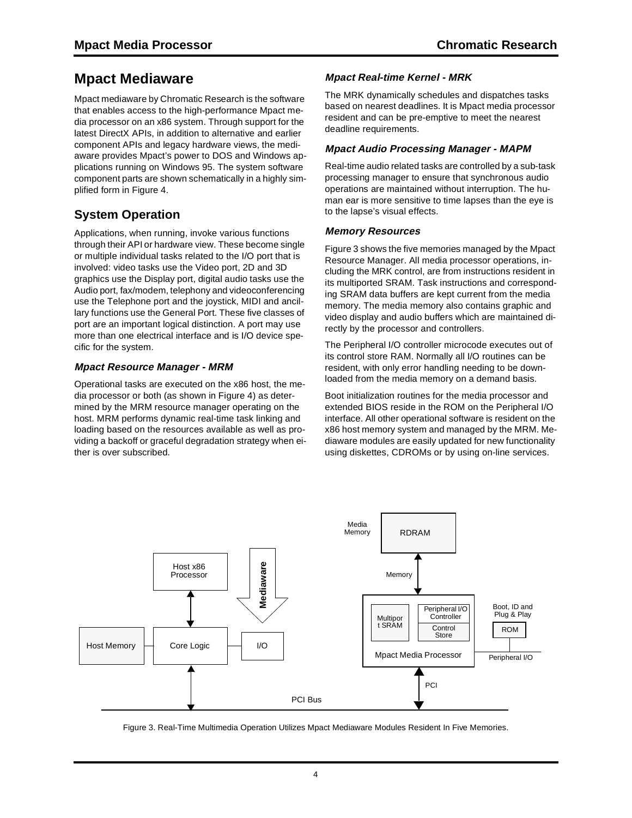## **Mpact Mediaware**

Mpact mediaware by Chromatic Research is the software that enables access to the high-performance Mpact media processor on an x86 system. Through support for the latest DirectX APIs, in addition to alternative and earlier component APIs and legacy hardware views, the mediaware provides Mpact's power to DOS and Windows applications running on Windows 95. The system software component parts are shown schematically in a highly simplified form in Figure 4.

### **System Operation**

Applications, when running, invoke various functions through their API or hardware view. These become single or multiple individual tasks related to the I/O port that is involved: video tasks use the Video port, 2D and 3D graphics use the Display port, digital audio tasks use the Audio port, fax/modem, telephony and videoconferencing use the Telephone port and the joystick, MIDI and ancillary functions use the General Port. These five classes of port are an important logical distinction. A port may use more than one electrical interface and is I/O device specific for the system.

### **Mpact Resource Manager - MRM**

Operational tasks are executed on the x86 host, the media processor or both (as shown in Figure 4) as determined by the MRM resource manager operating on the host. MRM performs dynamic real-time task linking and loading based on the resources available as well as providing a backoff or graceful degradation strategy when either is over subscribed.

### **Mpact Real-time Kernel - MRK**

The MRK dynamically schedules and dispatches tasks based on nearest deadlines. It is Mpact media processor resident and can be pre-emptive to meet the nearest deadline requirements.

### **Mpact Audio Processing Manager - MAPM**

Real-time audio related tasks are controlled by a sub-task processing manager to ensure that synchronous audio operations are maintained without interruption. The human ear is more sensitive to time lapses than the eye is to the lapse's visual effects.

### **Memory Resources**

Figure 3 shows the five memories managed by the Mpact Resource Manager. All media processor operations, including the MRK control, are from instructions resident in its multiported SRAM. Task instructions and corresponding SRAM data buffers are kept current from the media memory. The media memory also contains graphic and video display and audio buffers which are maintained directly by the processor and controllers.

The Peripheral I/O controller microcode executes out of its control store RAM. Normally all I/O routines can be resident, with only error handling needing to be downloaded from the media memory on a demand basis.

Boot initialization routines for the media processor and extended BIOS reside in the ROM on the Peripheral I/O interface. All other operational software is resident on the x86 host memory system and managed by the MRM. Mediaware modules are easily updated for new functionality using diskettes, CDROMs or by using on-line services.



Figure 3. Real-Time Multimedia Operation Utilizes Mpact Mediaware Modules Resident In Five Memories.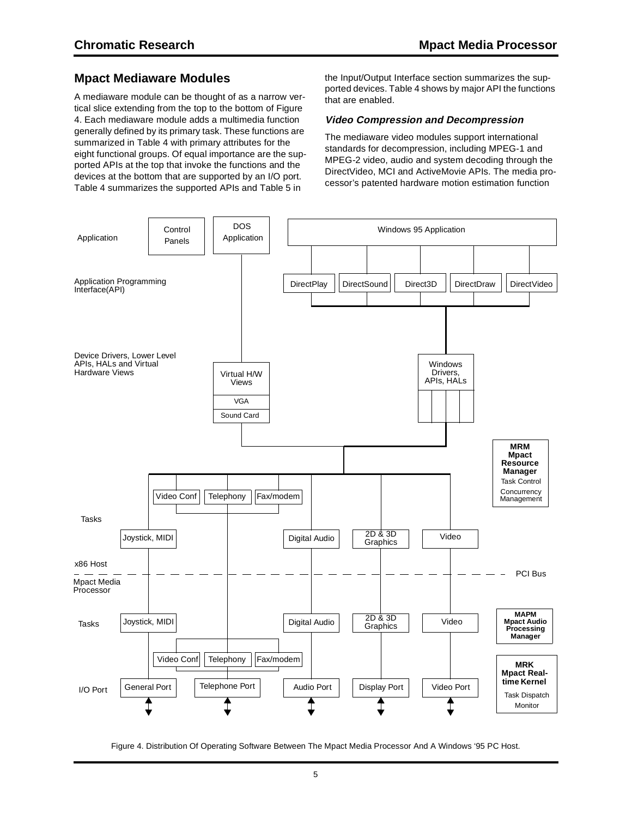### **Mpact Mediaware Modules**

A mediaware module can be thought of as a narrow vertical slice extending from the top to the bottom of Figure 4. Each mediaware module adds a multimedia function generally defined by its primary task. These functions are summarized in Table 4 with primary attributes for the eight functional groups. Of equal importance are the supported APIs at the top that invoke the functions and the devices at the bottom that are supported by an I/O port. Table 4 summarizes the supported APIs and Table 5 in

the Input/Output Interface section summarizes the supported devices. Table 4 shows by major API the functions that are enabled.

#### **Video Compression and Decompression**

The mediaware video modules support international standards for decompression, including MPEG-1 and MPEG-2 video, audio and system decoding through the DirectVideo, MCI and ActiveMovie APIs. The media processor's patented hardware motion estimation function



Figure 4. Distribution Of Operating Software Between The Mpact Media Processor And A Windows '95 PC Host.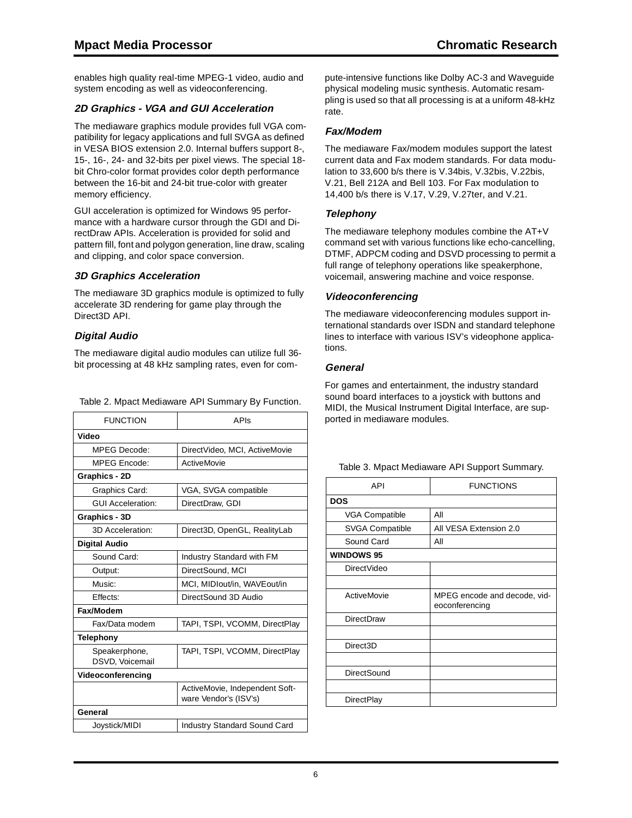enables high quality real-time MPEG-1 video, audio and system encoding as well as videoconferencing.

### **2D Graphics - VGA and GUI Acceleration**

The mediaware graphics module provides full VGA compatibility for legacy applications and full SVGA as defined in VESA BIOS extension 2.0. Internal buffers support 8-, 15-, 16-, 24- and 32-bits per pixel views. The special 18 bit Chro-color format provides color depth performance between the 16-bit and 24-bit true-color with greater memory efficiency.

GUI acceleration is optimized for Windows 95 performance with a hardware cursor through the GDI and DirectDraw APIs. Acceleration is provided for solid and pattern fill, font and polygon generation, line draw, scaling and clipping, and color space conversion.

### **3D Graphics Acceleration**

The mediaware 3D graphics module is optimized to fully accelerate 3D rendering for game play through the Direct3D API.

### **Digital Audio**

The mediaware digital audio modules can utilize full 36 bit processing at 48 kHz sampling rates, even for com-

Table 2. Mpact Mediaware API Summary By Function.

| <b>FUNCTION</b>                  | APIs                                                    |
|----------------------------------|---------------------------------------------------------|
| Video                            |                                                         |
| <b>MPEG Decode:</b>              | DirectVideo, MCI, ActiveMovie                           |
| <b>MPEG Encode:</b>              | ActiveMovie                                             |
| Graphics - 2D                    |                                                         |
| Graphics Card:                   | VGA, SVGA compatible                                    |
| <b>GUI Acceleration:</b>         | DirectDraw, GDI                                         |
| Graphics - 3D                    |                                                         |
| 3D Acceleration:                 | Direct3D, OpenGL, RealityLab                            |
| <b>Digital Audio</b>             |                                                         |
| Sound Card:                      | Industry Standard with FM                               |
| Output:                          | DirectSound, MCI                                        |
| Music:                           | MCI, MIDIout/in, WAVEout/in                             |
| Fffects:                         | DirectSound 3D Audio                                    |
| Fax/Modem                        |                                                         |
| Fax/Data modem                   | TAPI, TSPI, VCOMM, DirectPlay                           |
| Telephony                        |                                                         |
| Speakerphone,<br>DSVD, Voicemail | TAPI, TSPI, VCOMM, DirectPlay                           |
| Videoconferencing                |                                                         |
|                                  | ActiveMovie, Independent Soft-<br>ware Vendor's (ISV's) |
| General                          |                                                         |
| Joystick/MIDI                    | Industry Standard Sound Card                            |

pute-intensive functions like Dolby AC-3 and Waveguide physical modeling music synthesis. Automatic resampling is used so that all processing is at a uniform 48-kHz rate.

### **Fax/Modem**

The mediaware Fax/modem modules support the latest current data and Fax modem standards. For data modulation to 33,600 b/s there is V.34bis, V.32bis, V.22bis, V.21, Bell 212A and Bell 103. For Fax modulation to 14,400 b/s there is V.17, V.29, V.27ter, and V.21.

### **Telephony**

The mediaware telephony modules combine the AT+V command set with various functions like echo-cancelling, DTMF, ADPCM coding and DSVD processing to permit a full range of telephony operations like speakerphone, voicemail, answering machine and voice response.

### **Videoconferencing**

The mediaware videoconferencing modules support international standards over ISDN and standard telephone lines to interface with various ISV's videophone applications.

### **General**

For games and entertainment, the industry standard sound board interfaces to a joystick with buttons and MIDI, the Musical Instrument Digital Interface, are supported in mediaware modules.

| <b>FUNCTIONS</b>                               |  |  |
|------------------------------------------------|--|--|
|                                                |  |  |
| All                                            |  |  |
| All VESA Extension 2.0                         |  |  |
| All                                            |  |  |
|                                                |  |  |
|                                                |  |  |
|                                                |  |  |
| MPEG encode and decode, vid-<br>eoconferencing |  |  |
|                                                |  |  |
|                                                |  |  |
|                                                |  |  |
|                                                |  |  |
|                                                |  |  |
|                                                |  |  |
|                                                |  |  |
|                                                |  |  |

#### Table 3. Mpact Mediaware API Support Summary.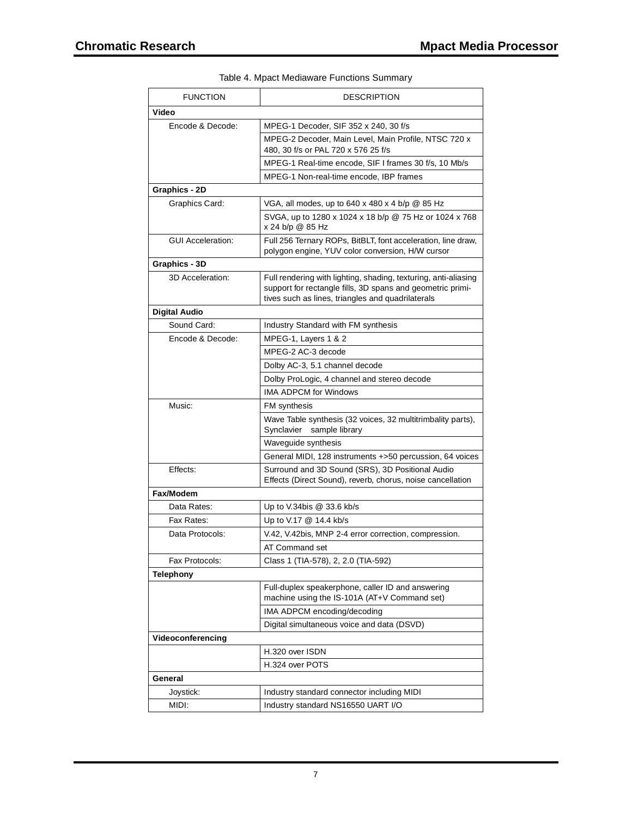| <b>FUNCTION</b>          | <b>DESCRIPTION</b>                                                                                                                                                                 |
|--------------------------|------------------------------------------------------------------------------------------------------------------------------------------------------------------------------------|
| Video                    |                                                                                                                                                                                    |
| Encode & Decode:         | MPEG-1 Decoder, SIF 352 x 240, 30 f/s                                                                                                                                              |
|                          | MPEG-2 Decoder, Main Level, Main Profile, NTSC 720 x<br>480, 30 f/s or PAL 720 x 576 25 f/s                                                                                        |
|                          | MPEG-1 Real-time encode, SIF I frames 30 f/s, 10 Mb/s                                                                                                                              |
|                          | MPEG-1 Non-real-time encode, IBP frames                                                                                                                                            |
| Graphics - 2D            |                                                                                                                                                                                    |
| Graphics Card:           | VGA, all modes, up to 640 x 480 x 4 b/p @ 85 Hz                                                                                                                                    |
|                          | SVGA, up to 1280 x 1024 x 18 b/p @ 75 Hz or 1024 x 768<br>x 24 b/p @ 85 Hz                                                                                                         |
| <b>GUI Acceleration:</b> | Full 256 Ternary ROPs, BitBLT, font acceleration, line draw,<br>polygon engine, YUV color conversion, H/W cursor                                                                   |
| Graphics - 3D            |                                                                                                                                                                                    |
| 3D Acceleration:         | Full rendering with lighting, shading, texturing, anti-aliasing<br>support for rectangle fills, 3D spans and geometric primi-<br>tives such as lines, triangles and quadrilaterals |
| Digital Audio            |                                                                                                                                                                                    |
| Sound Card:              | Industry Standard with FM synthesis                                                                                                                                                |
| Encode & Decode:         | MPEG-1, Layers 1 & 2                                                                                                                                                               |
|                          | MPEG-2 AC-3 decode                                                                                                                                                                 |
|                          | Dolby AC-3, 5.1 channel decode                                                                                                                                                     |
|                          | Dolby ProLogic, 4 channel and stereo decode                                                                                                                                        |
|                          | <b>IMA ADPCM for Windows</b>                                                                                                                                                       |
| Music:                   | FM synthesis                                                                                                                                                                       |
|                          | Wave Table synthesis (32 voices, 32 multitrimbality parts),<br>Synclavier® sample library                                                                                          |
|                          | Waveguide synthesis                                                                                                                                                                |
|                          | General MIDI, 128 instruments +>50 percussion, 64 voices                                                                                                                           |
| Effects:                 | Surround and 3D Sound (SRS), 3D Positional Audio<br>Effects (Direct Sound), reverb, chorus, noise cancellation                                                                     |
| Fax/Modem                |                                                                                                                                                                                    |
| Data Rates:              | Up to V.34bis $@33.6$ kb/s                                                                                                                                                         |
| Fax Rates:               | Up to V.17 @ 14.4 kb/s                                                                                                                                                             |
| Data Protocols:          | V.42, V.42bis, MNP 2-4 error correction, compression.                                                                                                                              |
|                          | AT Command set                                                                                                                                                                     |
| Fax Protocols:           | Class 1 (TIA-578), 2, 2.0 (TIA-592)                                                                                                                                                |
| <b>Telephony</b>         |                                                                                                                                                                                    |
|                          | Full-duplex speakerphone, caller ID and answering<br>machine using the IS-101A (AT+V Command set)                                                                                  |
|                          | IMA ADPCM encoding/decoding                                                                                                                                                        |
|                          | Digital simultaneous voice and data (DSVD)                                                                                                                                         |
| Videoconferencing        |                                                                                                                                                                                    |
|                          | H.320 over ISDN                                                                                                                                                                    |
|                          | H.324 over POTS                                                                                                                                                                    |
| General                  |                                                                                                                                                                                    |
| Joystick:                | Industry standard connector including MIDI                                                                                                                                         |
| MIDI:                    | Industry standard NS16550 UART I/O                                                                                                                                                 |

Table 4. Mpact Mediaware Functions Summary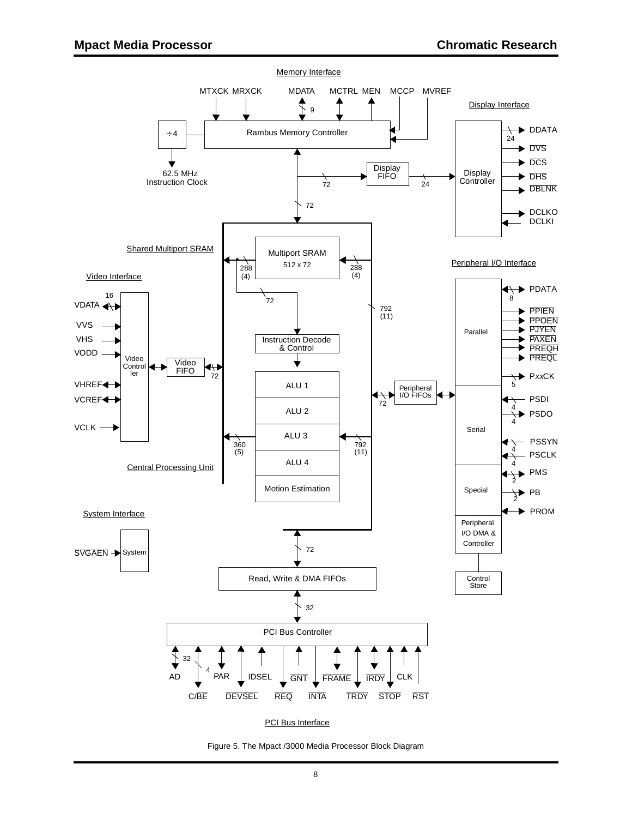

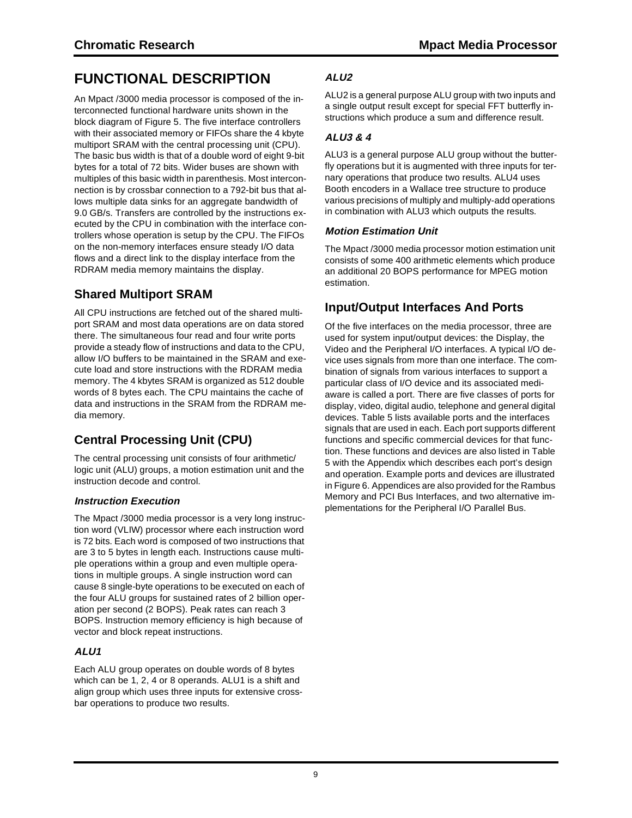## **FUNCTIONAL DESCRIPTION**

An Mpact /3000 media processor is composed of the interconnected functional hardware units shown in the block diagram of Figure 5. The five interface controllers with their associated memory or FIFOs share the 4 kbyte multiport SRAM with the central processing unit (CPU). The basic bus width is that of a double word of eight 9-bit bytes for a total of 72 bits. Wider buses are shown with multiples of this basic width in parenthesis. Most interconnection is by crossbar connection to a 792-bit bus that allows multiple data sinks for an aggregate bandwidth of 9.0 GB/s. Transfers are controlled by the instructions executed by the CPU in combination with the interface controllers whose operation is setup by the CPU. The FIFOs on the non-memory interfaces ensure steady I/O data flows and a direct link to the display interface from the RDRAM media memory maintains the display.

## **Shared Multiport SRAM**

All CPU instructions are fetched out of the shared multiport SRAM and most data operations are on data stored there. The simultaneous four read and four write ports provide a steady flow of instructions and data to the CPU, allow I/O buffers to be maintained in the SRAM and execute load and store instructions with the RDRAM media memory. The 4 kbytes SRAM is organized as 512 double words of 8 bytes each. The CPU maintains the cache of data and instructions in the SRAM from the RDRAM media memory.

## **Central Processing Unit (CPU)**

The central processing unit consists of four arithmetic/ logic unit (ALU) groups, a motion estimation unit and the instruction decode and control.

### **Instruction Execution**

The Mpact /3000 media processor is a very long instruction word (VLIW) processor where each instruction word is 72 bits. Each word is composed of two instructions that are 3 to 5 bytes in length each. Instructions cause multiple operations within a group and even multiple operations in multiple groups. A single instruction word can cause 8 single-byte operations to be executed on each of the four ALU groups for sustained rates of 2 billion operation per second (2 BOPS). Peak rates can reach 3 BOPS. Instruction memory efficiency is high because of vector and block repeat instructions.

### **ALU1**

Each ALU group operates on double words of 8 bytes which can be 1, 2, 4 or 8 operands. ALU1 is a shift and align group which uses three inputs for extensive crossbar operations to produce two results.

### **ALU2**

ALU2 is a general purpose ALU group with two inputs and a single output result except for special FFT butterfly instructions which produce a sum and difference result.

### **ALU3 & 4**

ALU3 is a general purpose ALU group without the butterfly operations but it is augmented with three inputs for ternary operations that produce two results. ALU4 uses Booth encoders in a Wallace tree structure to produce various precisions of multiply and multiply-add operations in combination with ALU3 which outputs the results.

### **Motion Estimation Unit**

The Mpact /3000 media processor motion estimation unit consists of some 400 arithmetic elements which produce an additional 20 BOPS performance for MPEG motion estimation.

### **Input/Output Interfaces And Ports**

Of the five interfaces on the media processor, three are used for system input/output devices: the Display, the Video and the Peripheral I/O interfaces. A typical I/O device uses signals from more than one interface. The combination of signals from various interfaces to support a particular class of I/O device and its associated mediaware is called a port. There are five classes of ports for display, video, digital audio, telephone and general digital devices. Table 5 lists available ports and the interfaces signals that are used in each. Each port supports different functions and specific commercial devices for that function. These functions and devices are also listed in Table 5 with the Appendix which describes each port's design and operation. Example ports and devices are illustrated in Figure 6. Appendices are also provided for the Rambus Memory and PCI Bus Interfaces, and two alternative implementations for the Peripheral I/O Parallel Bus.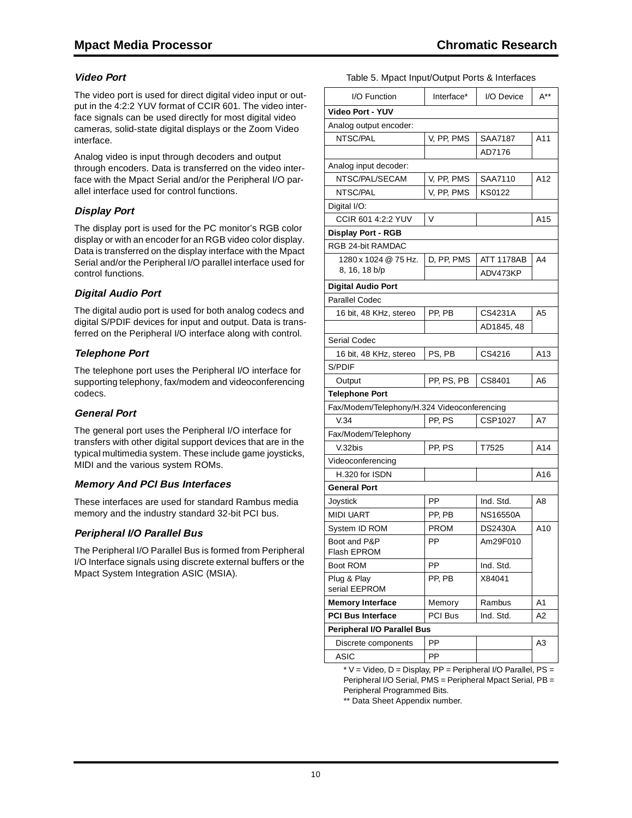### **Video Port**

The video port is used for direct digital video input or output in the 4:2:2 YUV format of CCIR 601. The video interface signals can be used directly for most digital video cameras, solid-state digital displays or the Zoom Video interface.

Analog video is input through decoders and output through encoders. Data is transferred on the video interface with the Mpact Serial and/or the Peripheral I/O parallel interface used for control functions.

### **Display Port**

The display port is used for the PC monitor's RGB color display or with an encoder for an RGB video color display. Data is transferred on the display interface with the Mpact Serial and/or the Peripheral I/O parallel interface used for control functions.

### **Digital Audio Port**

The digital audio port is used for both analog codecs and digital S/PDIF devices for input and output. Data is transferred on the Peripheral I/O interface along with control.

### **Telephone Port**

The telephone port uses the Peripheral I/O interface for supporting telephony, fax/modem and videoconferencing codecs.

### **General Port**

The general port uses the Peripheral I/O interface for transfers with other digital support devices that are in the typical multimedia system. These include game joysticks, MIDI and the various system ROMs.

### **Memory And PCI Bus Interfaces**

These interfaces are used for standard Rambus media memory and the industry standard 32-bit PCI bus.

### **Peripheral I/O Parallel Bus**

The Peripheral I/O Parallel Bus is formed from Peripheral I/O Interface signals using discrete external buffers or the Mpact System Integration ASIC (MSIA).

#### Table 5. Mpact Input/Output Ports & Interfaces

| I/O Function                                | Interface*     | I/O Device        | $A^{**}$       |
|---------------------------------------------|----------------|-------------------|----------------|
| <b>Video Port - YUV</b>                     |                |                   |                |
| Analog output encoder:                      |                |                   |                |
| NTSC/PAL                                    | V, PP, PMS     | SAA7187           | A11            |
|                                             |                | AD7176            |                |
| Analog input decoder:                       |                |                   |                |
| NTSC/PAL/SECAM                              | V, PP, PMS     | SAA7110           | A12            |
| NTSC/PAL                                    | V, PP, PMS     | KS0122            |                |
| Digital I/O:                                |                |                   |                |
| CCIR 601 4:2:2 YUV                          | V              |                   | A15            |
| <b>Display Port - RGB</b>                   |                |                   |                |
| RGB 24-bit RAMDAC                           |                |                   |                |
| 1280 x 1024 @ 75 Hz.                        | D, PP, PMS     | <b>ATT 1178AB</b> | A4             |
| 8, 16, 18 b/p                               |                | ADV473KP          |                |
| <b>Digital Audio Port</b>                   |                |                   |                |
| <b>Parallel Codec</b>                       |                |                   |                |
| 16 bit, 48 KHz, stereo                      | PP, PB         | CS4231A           | A5             |
|                                             |                | AD1845.48         |                |
| Serial Codec                                |                |                   |                |
| 16 bit, 48 KHz, stereo                      | PS, PB         | CS4216            | A13            |
| S/PDIF                                      |                |                   |                |
| Output                                      | PP, PS, PB     | CS8401            | A <sub>6</sub> |
| <b>Telephone Port</b>                       |                |                   |                |
| Fax/Modem/Telephony/H.324 Videoconferencing |                |                   |                |
| V.34                                        | PP, PS         | CSP1027           | A7             |
| Fax/Modem/Telephony                         |                |                   |                |
| V.32bis                                     | PP, PS         | T7525             | A14            |
| Videoconferencing                           |                |                   |                |
| H.320 for ISDN                              |                |                   | A16            |
| <b>General Port</b>                         |                |                   |                |
| Joystick                                    | PP             | Ind. Std.         | A8             |
| <b>MIDI UART</b>                            | PP, PB         | <b>NS16550A</b>   |                |
| System ID ROM                               | PROM           | <b>DS2430A</b>    | A10            |
| Boot and P&P<br>Flash EPROM                 | PP             | Am29F010          |                |
| Boot ROM                                    | <b>PP</b>      | Ind. Std.         |                |
| Plug & Play<br>serial EEPROM                | PP, PB         | X84041            |                |
| <b>Memory Interface</b>                     | Memory         | Rambus            | A1             |
| <b>PCI Bus Interface</b>                    | <b>PCI Bus</b> | Ind. Std.         | Α2             |
| <b>Peripheral I/O Parallel Bus</b>          |                |                   |                |
| Discrete components                         | PP             |                   | A3             |
| <b>ASIC</b>                                 | PP             |                   |                |

 $*$  V = Video, D = Display, PP = Peripheral I/O Parallel, PS = Peripheral I/O Serial, PMS = Peripheral Mpact Serial, PB = Peripheral Programmed Bits.

\*\* Data Sheet Appendix number.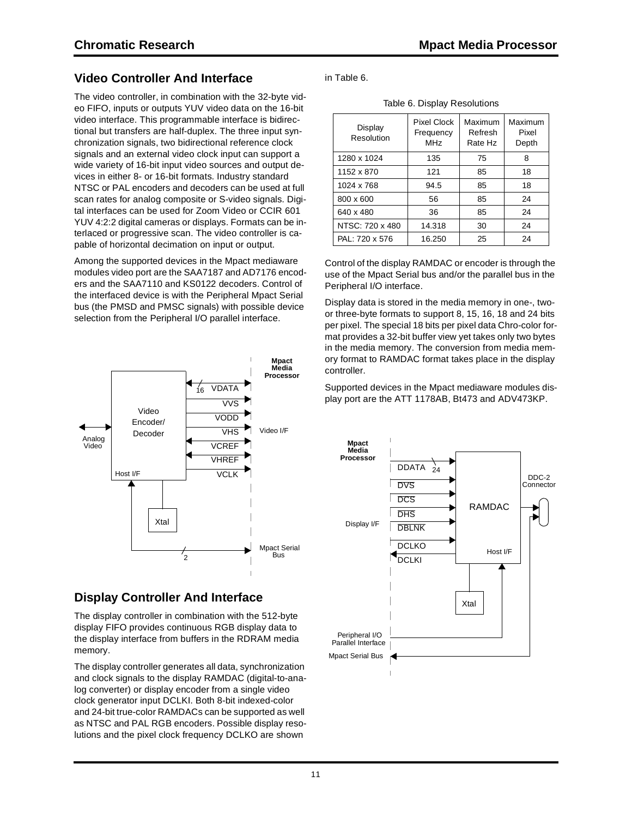### **Video Controller And Interface**

The video controller, in combination with the 32-byte video FIFO, inputs or outputs YUV video data on the 16-bit video interface. This programmable interface is bidirectional but transfers are half-duplex. The three input synchronization signals, two bidirectional reference clock signals and an external video clock input can support a wide variety of 16-bit input video sources and output devices in either 8- or 16-bit formats. Industry standard NTSC or PAL encoders and decoders can be used at full scan rates for analog composite or S-video signals. Digital interfaces can be used for Zoom Video or CCIR 601 YUV 4:2:2 digital cameras or displays. Formats can be interlaced or progressive scan. The video controller is capable of horizontal decimation on input or output.

Among the supported devices in the Mpact mediaware modules video port are the SAA7187 and AD7176 encoders and the SAA7110 and KS0122 decoders. Control of the interfaced device is with the Peripheral Mpact Serial bus (the PMSD and PMSC signals) with possible device selection from the Peripheral I/O parallel interface.



### **Display Controller And Interface**

The display controller in combination with the 512-byte display FIFO provides continuous RGB display data to the display interface from buffers in the RDRAM media memory.

The display controller generates all data, synchronization and clock signals to the display RAMDAC (digital-to-analog converter) or display encoder from a single video clock generator input DCLKI. Both 8-bit indexed-color and 24-bit true-color RAMDACs can be supported as well as NTSC and PAL RGB encoders. Possible display resolutions and the pixel clock frequency DCLKO are shown

in Table 6.

Table 6. Display Resolutions

| Display<br>Resolution | <b>Pixel Clock</b><br>Frequency<br><b>MHz</b> | Maximum<br>Refresh<br>Rate Hz | Maximum<br>Pixel<br>Depth |  |
|-----------------------|-----------------------------------------------|-------------------------------|---------------------------|--|
| 1280 x 1024           | 135                                           | 75                            | 8                         |  |
| 1152 x 870            | 121                                           | 85                            | 18                        |  |
| 1024 x 768            | 94.5                                          | 85                            | 18                        |  |
| 800 x 600             | 56                                            | 85                            | 24                        |  |
| 640 x 480             | 36                                            | 85                            | 24                        |  |
| NTSC: 720 x 480       | 14.318                                        | 30                            | 24                        |  |
| PAL: 720 x 576        | 16.250                                        | 25                            | 24                        |  |

Control of the display RAMDAC or encoder is through the use of the Mpact Serial bus and/or the parallel bus in the Peripheral I/O interface.

Display data is stored in the media memory in one-, twoor three-byte formats to support 8, 15, 16, 18 and 24 bits per pixel. The special 18 bits per pixel data Chro-color format provides a 32-bit buffer view yet takes only two bytes in the media memory. The conversion from media memory format to RAMDAC format takes place in the display controller.

Supported devices in the Mpact mediaware modules display port are the ATT 1178AB, Bt473 and ADV473KP.

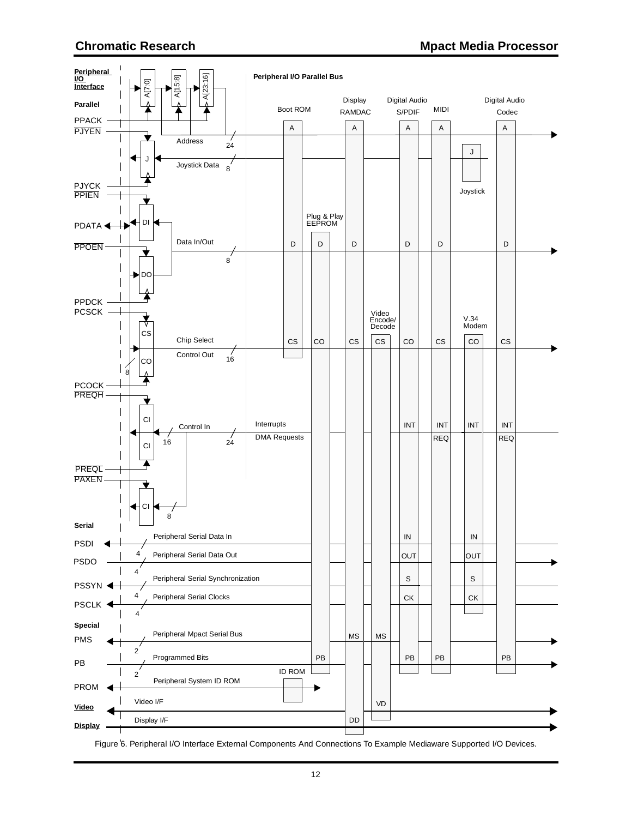

Figure 6. Peripheral I/O Interface External Components And Connections To Example Mediaware Supported I/O Devices.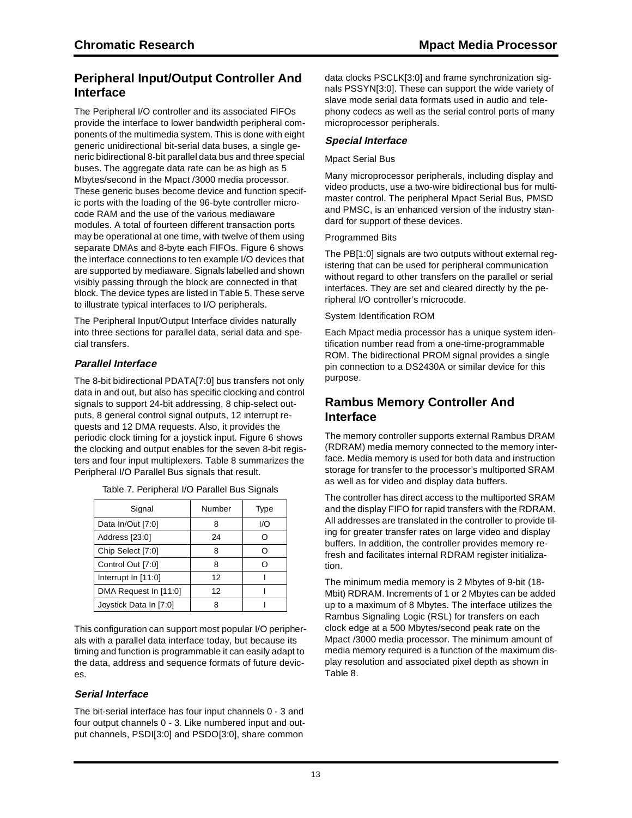### **Peripheral Input/Output Controller And Interface**

The Peripheral I/O controller and its associated FIFOs provide the interface to lower bandwidth peripheral components of the multimedia system. This is done with eight generic unidirectional bit-serial data buses, a single generic bidirectional 8-bit parallel data bus and three special buses. The aggregate data rate can be as high as 5 Mbytes/second in the Mpact /3000 media processor. These generic buses become device and function specific ports with the loading of the 96-byte controller microcode RAM and the use of the various mediaware modules. A total of fourteen different transaction ports may be operational at one time, with twelve of them using separate DMAs and 8-byte each FIFOs. Figure 6 shows the interface connections to ten example I/O devices that are supported by mediaware. Signals labelled and shown visibly passing through the block are connected in that block. The device types are listed in Table 5. These serve to illustrate typical interfaces to I/O peripherals.

The Peripheral Input/Output Interface divides naturally into three sections for parallel data, serial data and special transfers.

### **Parallel Interface**

The 8-bit bidirectional PDATA[7:0] bus transfers not only data in and out, but also has specific clocking and control signals to support 24-bit addressing, 8 chip-select outputs, 8 general control signal outputs, 12 interrupt requests and 12 DMA requests. Also, it provides the periodic clock timing for a joystick input. Figure 6 shows the clocking and output enables for the seven 8-bit registers and four input multiplexers. Table 8 summarizes the Peripheral I/O Parallel Bus signals that result.

| Signal                 | Number | <b>Type</b> |
|------------------------|--------|-------------|
| Data In/Out [7:0]      | 8      | I/O         |
| Address [23:0]         | 24     |             |
| Chip Select [7:0]      | 8      |             |
| Control Out [7:0]      | 8      |             |
| Interrupt In $[11:0]$  | 12     |             |
| DMA Request In [11:0]  | 12     |             |
| Joystick Data In [7:0] | 8      |             |

Table 7. Peripheral I/O Parallel Bus Signals

This configuration can support most popular I/O peripherals with a parallel data interface today, but because its timing and function is programmable it can easily adapt to the data, address and sequence formats of future devices.

### **Serial Interface**

The bit-serial interface has four input channels 0 - 3 and four output channels 0 - 3. Like numbered input and output channels, PSDI[3:0] and PSDO[3:0], share common

data clocks PSCLK[3:0] and frame synchronization signals PSSYN[3:0]. These can support the wide variety of slave mode serial data formats used in audio and telephony codecs as well as the serial control ports of many microprocessor peripherals.

### **Special Interface**

#### Mpact Serial Bus

Many microprocessor peripherals, including display and video products, use a two-wire bidirectional bus for multimaster control. The peripheral Mpact Serial Bus, PMSD and PMSC, is an enhanced version of the industry standard for support of these devices.

#### Programmed Bits

The PB[1:0] signals are two outputs without external registering that can be used for peripheral communication without regard to other transfers on the parallel or serial interfaces. They are set and cleared directly by the peripheral I/O controller's microcode.

#### System Identification ROM

Each Mpact media processor has a unique system identification number read from a one-time-programmable ROM. The bidirectional PROM signal provides a single pin connection to a DS2430A or similar device for this purpose.

### **Rambus Memory Controller And Interface**

The memory controller supports external Rambus DRAM (RDRAM) media memory connected to the memory interface. Media memory is used for both data and instruction storage for transfer to the processor's multiported SRAM as well as for video and display data buffers.

The controller has direct access to the multiported SRAM and the display FIFO for rapid transfers with the RDRAM. All addresses are translated in the controller to provide tiling for greater transfer rates on large video and display buffers. In addition, the controller provides memory refresh and facilitates internal RDRAM register initialization.

The minimum media memory is 2 Mbytes of 9-bit (18- Mbit) RDRAM. Increments of 1 or 2 Mbytes can be added up to a maximum of 8 Mbytes. The interface utilizes the Rambus Signaling Logic (RSL) for transfers on each clock edge at a 500 Mbytes/second peak rate on the Mpact /3000 media processor. The minimum amount of media memory required is a function of the maximum display resolution and associated pixel depth as shown in Table 8.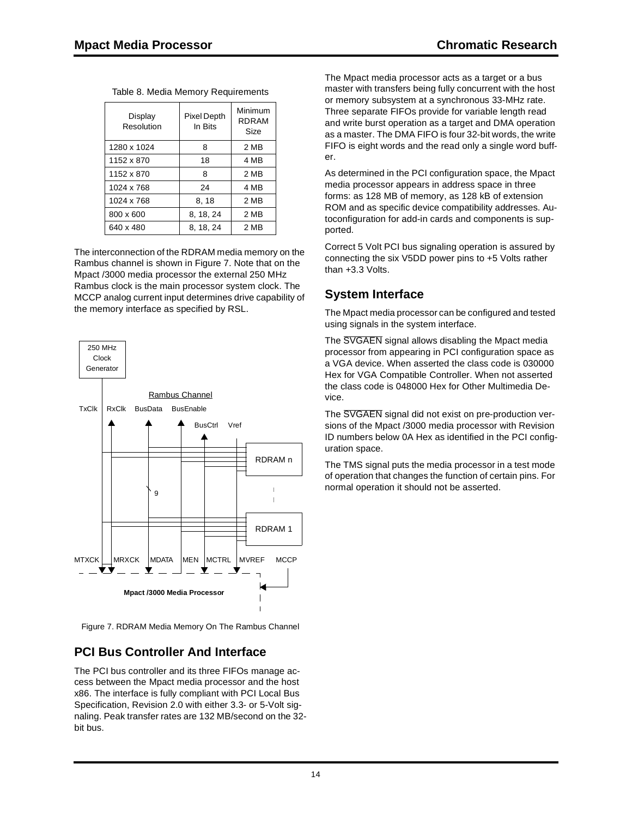| Display<br>Resolution | Pixel Depth<br>In Bits | Minimum<br><b>RDRAM</b><br>Size |
|-----------------------|------------------------|---------------------------------|
| 1280 x 1024           | 8                      | 2 MB                            |
| 1152 x 870            | 18                     | 4 MB                            |
| 1152 x 870            | 8                      | 2 MB                            |
| 1024 x 768            | 24                     | 4 MB                            |
| 1024 x 768            | 8, 18                  | 2 MB                            |
| 800 x 600             | 8, 18, 24              | 2 MB                            |
| 640 x 480             | 8, 18, 24              | 2 MB                            |

Table 8. Media Memory Requirements

The interconnection of the RDRAM media memory on the Rambus channel is shown in Figure 7. Note that on the Mpact /3000 media processor the external 250 MHz Rambus clock is the main processor system clock. The MCCP analog current input determines drive capability of the memory interface as specified by RSL.



Figure 7. RDRAM Media Memory On The Rambus Channel

### **PCI Bus Controller And Interface**

The PCI bus controller and its three FIFOs manage access between the Mpact media processor and the host x86. The interface is fully compliant with PCI Local Bus Specification, Revision 2.0 with either 3.3- or 5-Volt signaling. Peak transfer rates are 132 MB/second on the 32 bit bus.

The Mpact media processor acts as a target or a bus master with transfers being fully concurrent with the host or memory subsystem at a synchronous 33-MHz rate. Three separate FIFOs provide for variable length read and write burst operation as a target and DMA operation as a master. The DMA FIFO is four 32-bit words, the write FIFO is eight words and the read only a single word buffer.

As determined in the PCI configuration space, the Mpact media processor appears in address space in three forms: as 128 MB of memory, as 128 kB of extension ROM and as specific device compatibility addresses. Autoconfiguration for add-in cards and components is supported.

Correct 5 Volt PCI bus signaling operation is assured by connecting the six V5DD power pins to +5 Volts rather than +3.3 Volts.

### **System Interface**

The Mpact media processor can be configured and tested using signals in the system interface.

The SVGAEN signal allows disabling the Mpact media processor from appearing in PCI configuration space as a VGA device. When asserted the class code is 030000 Hex for VGA Compatible Controller. When not asserted the class code is 048000 Hex for Other Multimedia Device.

The SVGAEN signal did not exist on pre-production versions of the Mpact /3000 media processor with Revision ID numbers below 0A Hex as identified in the PCI configuration space.

The TMS signal puts the media processor in a test mode of operation that changes the function of certain pins. For normal operation it should not be asserted.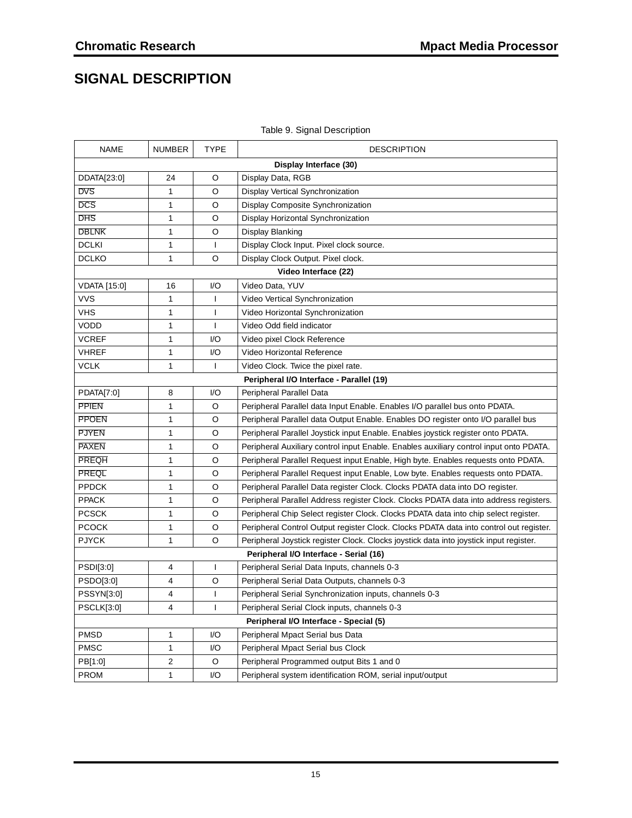## **SIGNAL DESCRIPTION**

| <b>NAME</b>       | NUMBER                 | <b>TYPE</b>  | <b>DESCRIPTION</b>                                                                     |  |  |
|-------------------|------------------------|--------------|----------------------------------------------------------------------------------------|--|--|
|                   | Display Interface (30) |              |                                                                                        |  |  |
| DDATA[23:0]       | 24                     | O            | Display Data, RGB                                                                      |  |  |
| <b>DVS</b>        | 1                      | O            | Display Vertical Synchronization                                                       |  |  |
| <b>DCS</b>        | 1                      | O            | Display Composite Synchronization                                                      |  |  |
| <b>DHS</b>        | 1                      | O            | Display Horizontal Synchronization                                                     |  |  |
| <b>DBLNK</b>      | 1                      | O            | Display Blanking                                                                       |  |  |
| <b>DCLKI</b>      | $\mathbf{1}$           | $\mathbf{I}$ | Display Clock Input. Pixel clock source.                                               |  |  |
| <b>DCLKO</b>      | $\mathbf{1}$           | O            | Display Clock Output. Pixel clock.                                                     |  |  |
|                   |                        |              | Video Interface (22)                                                                   |  |  |
| VDATA [15:0]      | 16                     | I/O          | Video Data, YUV                                                                        |  |  |
| <b>VVS</b>        | 1                      | $\mathsf{I}$ | Video Vertical Synchronization                                                         |  |  |
| <b>VHS</b>        | 1                      | $\mathbf{I}$ | Video Horizontal Synchronization                                                       |  |  |
| <b>VODD</b>       | 1                      | T            | Video Odd field indicator                                                              |  |  |
| <b>VCREF</b>      | 1                      | 1/O          | Video pixel Clock Reference                                                            |  |  |
| <b>VHREF</b>      | 1                      | $l/O$        | Video Horizontal Reference                                                             |  |  |
| <b>VCLK</b>       | 1                      | T            | Video Clock. Twice the pixel rate.                                                     |  |  |
|                   |                        |              | Peripheral I/O Interface - Parallel (19)                                               |  |  |
| PDATA[7:0]        | 8                      | I/O          | Peripheral Parallel Data                                                               |  |  |
| <b>PPIEN</b>      | $\mathbf{1}$           | O            | Peripheral Parallel data Input Enable. Enables I/O parallel bus onto PDATA.            |  |  |
| <b>PPOEN</b>      | 1                      | O            | Peripheral Parallel data Output Enable. Enables DO register onto I/O parallel bus      |  |  |
| <b>PJYEN</b>      | 1                      | O            | Peripheral Parallel Joystick input Enable. Enables joystick register onto PDATA.       |  |  |
| <b>PAXEN</b>      | 1                      | O            | Peripheral Auxiliary control input Enable. Enables auxiliary control input onto PDATA. |  |  |
| <b>PREQH</b>      | 1                      | O            | Peripheral Parallel Request input Enable, High byte. Enables requests onto PDATA.      |  |  |
| <b>PREQL</b>      | 1                      | O            | Peripheral Parallel Request input Enable, Low byte. Enables requests onto PDATA.       |  |  |
| <b>PPDCK</b>      | 1                      | O            | Peripheral Parallel Data register Clock. Clocks PDATA data into DO register.           |  |  |
| <b>PPACK</b>      | 1                      | O            | Peripheral Parallel Address register Clock. Clocks PDATA data into address registers.  |  |  |
| <b>PCSCK</b>      | 1                      | O            | Peripheral Chip Select register Clock. Clocks PDATA data into chip select register.    |  |  |
| <b>PCOCK</b>      | 1                      | O            | Peripheral Control Output register Clock. Clocks PDATA data into control out register. |  |  |
| <b>PJYCK</b>      | 1                      | O            | Peripheral Joystick register Clock. Clocks joystick data into joystick input register. |  |  |
|                   |                        |              | Peripheral I/O Interface - Serial (16)                                                 |  |  |
| PSDI[3:0]         | 4                      | L            | Peripheral Serial Data Inputs, channels 0-3                                            |  |  |
| PSDO[3:0]         | 4                      | O            | Peripheral Serial Data Outputs, channels 0-3                                           |  |  |
| PSSYN[3:0]        | 4                      | T            | Peripheral Serial Synchronization inputs, channels 0-3                                 |  |  |
| <b>PSCLK[3:0]</b> | 4                      | $\mathbf{I}$ | Peripheral Serial Clock inputs, channels 0-3                                           |  |  |
|                   |                        |              | Peripheral I/O Interface - Special (5)                                                 |  |  |
| <b>PMSD</b>       | 1                      | 1/O          | Peripheral Mpact Serial bus Data                                                       |  |  |
| <b>PMSC</b>       | $\mathbf{1}$           | 1/O          | Peripheral Mpact Serial bus Clock                                                      |  |  |
| PB[1:0]           | 2                      | O            | Peripheral Programmed output Bits 1 and 0                                              |  |  |
| <b>PROM</b>       | 1                      | 1/O          | Peripheral system identification ROM, serial input/output                              |  |  |

#### Table 9. Signal Description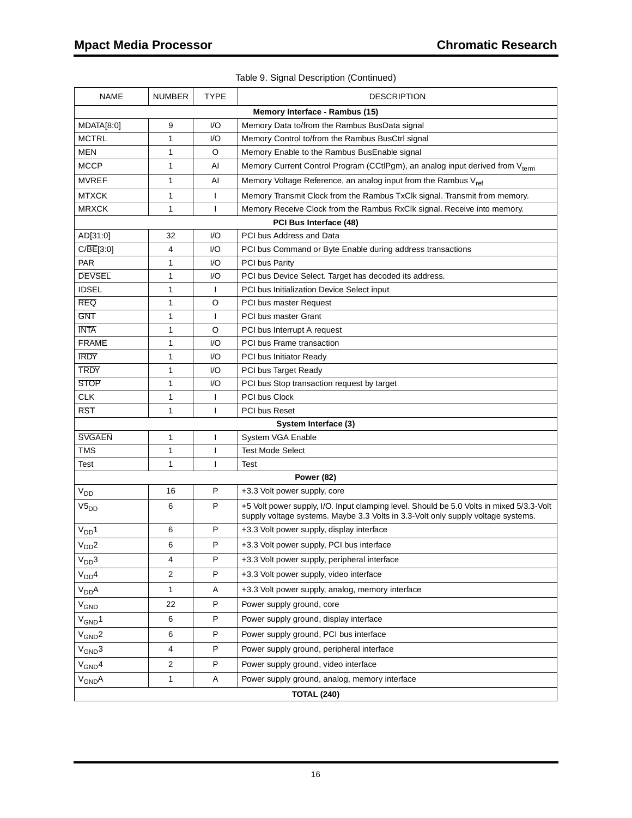| <b>NAME</b>                    | <b>NUMBER</b>           | <b>TYPE</b>  | <b>DESCRIPTION</b>                                                                                                                                                           |  |  |
|--------------------------------|-------------------------|--------------|------------------------------------------------------------------------------------------------------------------------------------------------------------------------------|--|--|
| Memory Interface - Rambus (15) |                         |              |                                                                                                                                                                              |  |  |
| MDATA[8:0]                     | 9                       | I/O          | Memory Data to/from the Rambus BusData signal                                                                                                                                |  |  |
| <b>MCTRL</b>                   | 1                       | 1/O          | Memory Control to/from the Rambus BusCtrl signal                                                                                                                             |  |  |
| <b>MEN</b>                     | 1                       | O            | Memory Enable to the Rambus BusEnable signal                                                                                                                                 |  |  |
| <b>MCCP</b>                    | 1                       | AI           | Memory Current Control Program (CCtIPgm), an analog input derived from V <sub>term</sub>                                                                                     |  |  |
| <b>MVREF</b>                   | 1                       | AI           | Memory Voltage Reference, an analog input from the Rambus V <sub>ref</sub>                                                                                                   |  |  |
| <b>MTXCK</b>                   | 1                       | L            | Memory Transmit Clock from the Rambus TxClk signal. Transmit from memory.                                                                                                    |  |  |
| <b>MRXCK</b>                   | 1                       | L            | Memory Receive Clock from the Rambus RxClk signal. Receive into memory.                                                                                                      |  |  |
|                                |                         |              | PCI Bus Interface (48)                                                                                                                                                       |  |  |
| AD[31:0]                       | 32                      | 1/O          | PCI bus Address and Data                                                                                                                                                     |  |  |
| C/BE[3:0]                      | 4                       | I/O          | PCI bus Command or Byte Enable during address transactions                                                                                                                   |  |  |
| <b>PAR</b>                     | 1                       | I/O          | <b>PCI bus Parity</b>                                                                                                                                                        |  |  |
| <b>DEVSEL</b>                  | 1                       | I/O          | PCI bus Device Select. Target has decoded its address.                                                                                                                       |  |  |
| <b>IDSEL</b>                   | 1                       | T            | PCI bus Initialization Device Select input                                                                                                                                   |  |  |
| <b>REQ</b>                     | 1                       | O            | PCI bus master Request                                                                                                                                                       |  |  |
| <b>GNT</b>                     | 1                       | T            | PCI bus master Grant                                                                                                                                                         |  |  |
| <b>INTA</b>                    | 1                       | O            | PCI bus Interrupt A request                                                                                                                                                  |  |  |
| <b>FRAME</b>                   | 1                       | 1/O          | PCI bus Frame transaction                                                                                                                                                    |  |  |
| <b>IRDY</b>                    | 1                       | I/O          | <b>PCI bus Initiator Ready</b>                                                                                                                                               |  |  |
| <b>TRDY</b>                    | 1                       | I/O          | PCI bus Target Ready                                                                                                                                                         |  |  |
| <b>STOP</b>                    | 1                       | 1/O          | PCI bus Stop transaction request by target                                                                                                                                   |  |  |
| <b>CLK</b>                     | 1                       | L            | PCI bus Clock                                                                                                                                                                |  |  |
| <b>RST</b>                     | 1                       | $\mathbf{I}$ | <b>PCI bus Reset</b>                                                                                                                                                         |  |  |
|                                |                         |              | System Interface (3)                                                                                                                                                         |  |  |
| <b>SVGAEN</b>                  | 1                       | I            | System VGA Enable                                                                                                                                                            |  |  |
| <b>TMS</b>                     | 1                       | L            | <b>Test Mode Select</b>                                                                                                                                                      |  |  |
| Test                           | 1                       | T            | Test                                                                                                                                                                         |  |  |
|                                |                         |              | <b>Power (82)</b>                                                                                                                                                            |  |  |
| $\rm V_{DD}$                   | 16                      | P            | +3.3 Volt power supply, core                                                                                                                                                 |  |  |
| $V5_{DD}$                      | 6                       | P            | +5 Volt power supply, I/O. Input clamping level. Should be 5.0 Volts in mixed 5/3.3-Volt<br>supply voltage systems. Maybe 3.3 Volts in 3.3-Volt only supply voltage systems. |  |  |
| $V_{DD}1$                      | 6                       | $\mathsf{P}$ | +3.3 Volt power supply, display interface                                                                                                                                    |  |  |
| V <sub>DD</sub> 2              | 6                       | P            | +3.3 Volt power supply, PCI bus interface                                                                                                                                    |  |  |
| V <sub>DD</sub> 3              | 4                       | P            | +3.3 Volt power supply, peripheral interface                                                                                                                                 |  |  |
| V <sub>DD</sub> 4              | $\mathbf{2}$            | P            | +3.3 Volt power supply, video interface                                                                                                                                      |  |  |
| $V_{DD}A$                      | 1                       | A            | +3.3 Volt power supply, analog, memory interface                                                                                                                             |  |  |
| V <sub>GND</sub>               | 22                      | ${\sf P}$    | Power supply ground, core                                                                                                                                                    |  |  |
| $V_{GND}1$                     | 6                       | $\sf P$      | Power supply ground, display interface                                                                                                                                       |  |  |
| $V_{GND}$ 2                    | 6                       | P            | Power supply ground, PCI bus interface                                                                                                                                       |  |  |
| $V_{GND}3$                     | 4                       | P            | Power supply ground, peripheral interface                                                                                                                                    |  |  |
| $V_{GND}4$                     | $\overline{\mathbf{c}}$ | P            | Power supply ground, video interface                                                                                                                                         |  |  |
| V <sub>GND</sub> A             | 1                       | A            | Power supply ground, analog, memory interface                                                                                                                                |  |  |
| <b>TOTAL (240)</b>             |                         |              |                                                                                                                                                                              |  |  |

Table 9. Signal Description (Continued)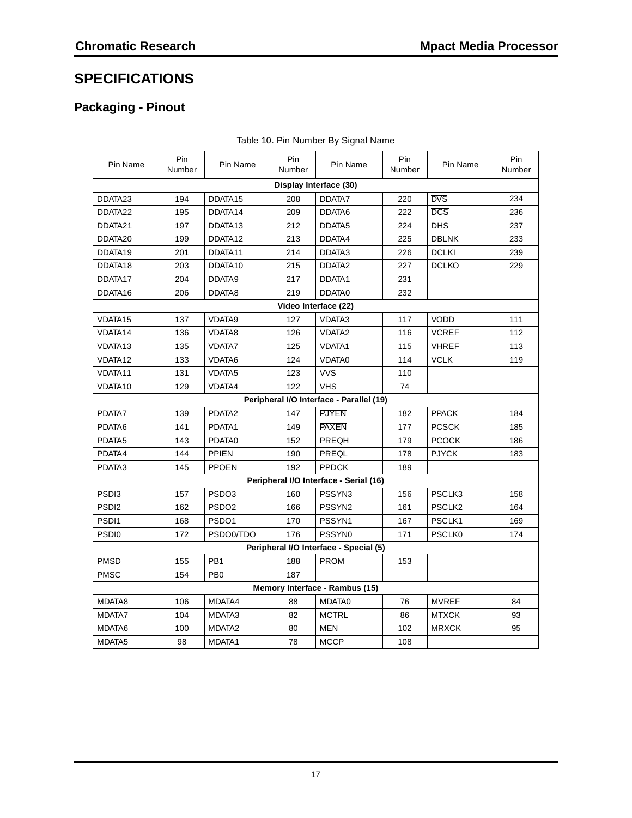## **SPECIFICATIONS**

## **Packaging - Pinout**

| Pin Name               | Pin<br>Number | Pin Name            | Pin<br>Number | Pin Name                                 | Pin<br>Number | Pin Name           | Pin<br>Number |  |
|------------------------|---------------|---------------------|---------------|------------------------------------------|---------------|--------------------|---------------|--|
| Display Interface (30) |               |                     |               |                                          |               |                    |               |  |
| DDATA23                | 194           | DDATA15             | 208           | DDATA7                                   | 220           | <b>DVS</b>         | 234           |  |
| DDATA22                | 195           | DDATA14             | 209           | DDATA6                                   | 222           | <b>DCS</b>         | 236           |  |
| DDATA21                | 197           | DDATA <sub>13</sub> | 212           | DDATA5                                   | 224           | <b>DHS</b>         | 237           |  |
| DDATA20                | 199           | DDATA12             | 213           | DDATA4                                   | 225           | <b>DBLNK</b>       | 233           |  |
| DDATA19                | 201           | DDATA11             | 214           | DDATA3                                   | 226           | <b>DCLKI</b>       | 239           |  |
| DDATA18                | 203           | DDATA10             | 215           | DDATA <sub>2</sub>                       | 227           | <b>DCLKO</b>       | 229           |  |
| DDATA17                | 204           | DDATA9              | 217           | DDATA1                                   | 231           |                    |               |  |
| DDATA16                | 206           | DDATA8              | 219           | DDATA0                                   | 232           |                    |               |  |
|                        |               |                     |               | Video Interface (22)                     |               |                    |               |  |
| VDATA15                | 137           | VDATA9              | 127           | VDATA3                                   | 117           | <b>VODD</b>        | 111           |  |
| VDATA14                | 136           | VDATA8              | 126           | <b>VDATA2</b>                            | 116           | <b>VCREF</b>       | 112           |  |
| VDATA13                | 135           | <b>VDATA7</b>       | 125           | VDATA1                                   | 115           | <b>VHREF</b>       | 113           |  |
| VDATA12                | 133           | VDATA6              | 124           | <b>VDATA0</b>                            | 114           | <b>VCLK</b>        | 119           |  |
| VDATA11                | 131           | VDATA5              | 123           | <b>VVS</b>                               | 110           |                    |               |  |
| VDATA10                | 129           | VDATA4              | 122           | <b>VHS</b>                               | 74            |                    |               |  |
|                        |               |                     |               | Peripheral I/O Interface - Parallel (19) |               |                    |               |  |
| PDATA7                 | 139           | PDATA2              | 147           | <b>PJYEN</b>                             | 182           | <b>PPACK</b>       | 184           |  |
| PDATA6                 | 141           | PDATA1              | 149           | PAXEN                                    | 177           | <b>PCSCK</b>       | 185           |  |
| PDATA5                 | 143           | PDATA0              | 152           | <b>PREQH</b>                             | 179           | <b>PCOCK</b>       | 186           |  |
| PDATA4                 | 144           | <b>PPIEN</b>        | 190           | <b>PREQL</b>                             | 178           | <b>PJYCK</b>       | 183           |  |
| PDATA3                 | 145           | <b>PPOEN</b>        | 192           | <b>PPDCK</b>                             | 189           |                    |               |  |
|                        |               |                     |               | Peripheral I/O Interface - Serial (16)   |               |                    |               |  |
| PSD <sub>13</sub>      | 157           | PSDO3               | 160           | PSSYN3                                   | 156           | PSCLK3             | 158           |  |
| PSDI <sub>2</sub>      | 162           | PSDO <sub>2</sub>   | 166           | PSSYN2                                   | 161           | PSCLK <sub>2</sub> | 164           |  |
| PSDI1                  | 168           | PSDO <sub>1</sub>   | 170           | PSSYN1                                   | 167           | PSCLK1             | 169           |  |
| PSD <sub>I0</sub>      | 172           | PSDO0/TDO           | 176           | PSSYN0                                   | 171           | <b>PSCLK0</b>      | 174           |  |
|                        |               |                     |               | Peripheral I/O Interface - Special (5)   |               |                    |               |  |
| <b>PMSD</b>            | 155           | PB <sub>1</sub>     | 188           | <b>PROM</b>                              | 153           |                    |               |  |
| <b>PMSC</b>            | 154           | PB <sub>0</sub>     | 187           |                                          |               |                    |               |  |
|                        |               |                     |               | Memory Interface - Rambus (15)           |               |                    |               |  |
| MDATA8                 | 106           | MDATA4              | 88            | MDATA0                                   | 76            | <b>MVREF</b>       | 84            |  |
| MDATA7                 | 104           | MDATA3              | 82            | <b>MCTRL</b>                             | 86            | <b>MTXCK</b>       | 93            |  |
| MDATA6                 | 100           | MDATA <sub>2</sub>  | 80            | <b>MEN</b>                               | 102           | <b>MRXCK</b>       | 95            |  |
| MDATA5                 | 98            | MDATA1              | 78            | <b>MCCP</b>                              | 108           |                    |               |  |

|  | Table 10. Pin Number By Signal Name |  |  |
|--|-------------------------------------|--|--|
|  |                                     |  |  |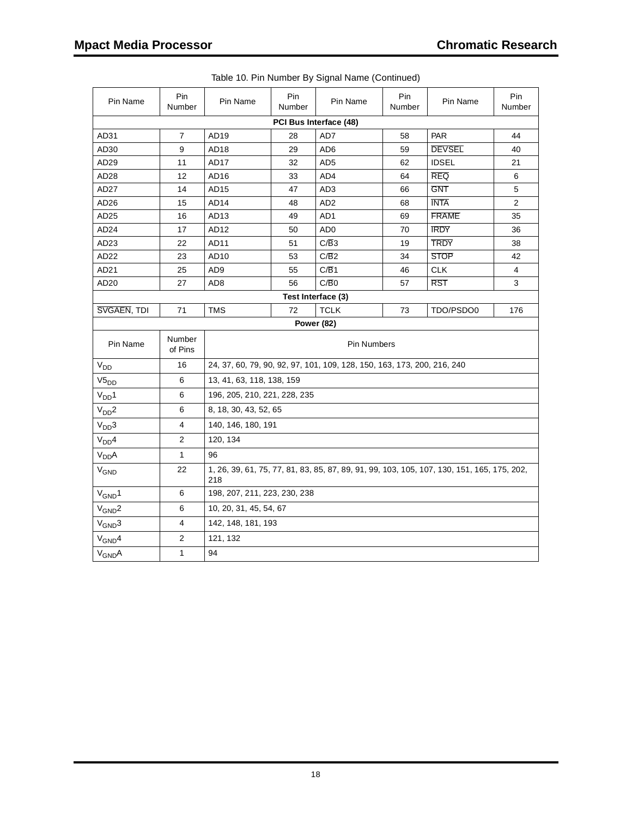| Pin Name               | Pin<br>Number     | Pin Name                                                                                          | Pin<br>Number | Pin Name        | Pin<br>Number | Pin Name      | Pin<br>Number  |
|------------------------|-------------------|---------------------------------------------------------------------------------------------------|---------------|-----------------|---------------|---------------|----------------|
| PCI Bus Interface (48) |                   |                                                                                                   |               |                 |               |               |                |
| AD31                   | $\overline{7}$    | AD <sub>19</sub>                                                                                  | 28            | AD7             | 58            | PAR           | 44             |
| AD <sub>30</sub>       | 9                 | AD18                                                                                              | 29            | AD <sub>6</sub> | 59            | <b>DEVSEL</b> | 40             |
| AD <sub>29</sub>       | 11                | AD17                                                                                              | 32            | AD <sub>5</sub> | 62            | <b>IDSEL</b>  | 21             |
| AD28                   | 12                | AD16                                                                                              | 33            | AD4             | 64            | <b>REQ</b>    | 6              |
| AD <sub>27</sub>       | 14                | AD15                                                                                              | 47            | AD <sub>3</sub> | 66            | <b>GNT</b>    | 5              |
| AD26                   | 15                | AD <sub>14</sub>                                                                                  | 48            | AD <sub>2</sub> | 68            | <b>INTA</b>   | $\overline{2}$ |
| AD25                   | 16                | AD <sub>13</sub>                                                                                  | 49            | AD1             | 69            | <b>FRAME</b>  | 35             |
| AD <sub>24</sub>       | 17                | AD <sub>12</sub>                                                                                  | 50            | AD <sub>0</sub> | 70            | <b>IRDY</b>   | 36             |
| AD <sub>23</sub>       | 22                | AD <sub>11</sub>                                                                                  | 51            | C/B3            | 19            | <b>TRDY</b>   | 38             |
| AD <sub>22</sub>       | 23                | AD <sub>10</sub>                                                                                  | 53            | C/B2            | 34            | <b>STOP</b>   | 42             |
| AD <sub>21</sub>       | 25                | AD9                                                                                               | 55            | C/B1            | 46            | <b>CLK</b>    | 4              |
| AD <sub>20</sub>       | 27                | AD8                                                                                               | 56            | C/B0            | 57            | <b>RST</b>    | 3              |
| Test Interface (3)     |                   |                                                                                                   |               |                 |               |               |                |
| SVGAEN, TDI            | 71                | <b>TMS</b>                                                                                        | 72            | <b>TCLK</b>     | 73            | TDO/PSDO0     | 176            |
| <b>Power (82)</b>      |                   |                                                                                                   |               |                 |               |               |                |
| Pin Name               | Number<br>of Pins | <b>Pin Numbers</b>                                                                                |               |                 |               |               |                |
| $\rm V_{DD}$           | 16                | 24, 37, 60, 79, 90, 92, 97, 101, 109, 128, 150, 163, 173, 200, 216, 240                           |               |                 |               |               |                |
| $V5_{DD}$              | 6                 | 13, 41, 63, 118, 138, 159                                                                         |               |                 |               |               |                |
| V <sub>DD</sub> 1      | 6                 | 196, 205, 210, 221, 228, 235                                                                      |               |                 |               |               |                |
| V <sub>DD</sub> 2      | 6                 | 8, 18, 30, 43, 52, 65                                                                             |               |                 |               |               |                |
| V <sub>DD</sub> 3      | 4                 | 140, 146, 180, 191                                                                                |               |                 |               |               |                |
| V <sub>DD</sub> 4      | $\overline{2}$    | 120, 134                                                                                          |               |                 |               |               |                |
| V <sub>DD</sub> A      | $\mathbf{1}$      | 96                                                                                                |               |                 |               |               |                |
| $V_{GND}$              | 22                | 1, 26, 39, 61, 75, 77, 81, 83, 85, 87, 89, 91, 99, 103, 105, 107, 130, 151, 165, 175, 202,<br>218 |               |                 |               |               |                |
| $V_{GND}1$             | 6                 | 198, 207, 211, 223, 230, 238                                                                      |               |                 |               |               |                |
| $V_{GND}$ 2            | 6                 | 10, 20, 31, 45, 54, 67                                                                            |               |                 |               |               |                |
| $V_{GND}3$             | 4                 | 142, 148, 181, 193                                                                                |               |                 |               |               |                |
| $V_{GND}4$             | 2                 | 121, 132                                                                                          |               |                 |               |               |                |
| $V_{GND}A$             | $\mathbf{1}$      | 94                                                                                                |               |                 |               |               |                |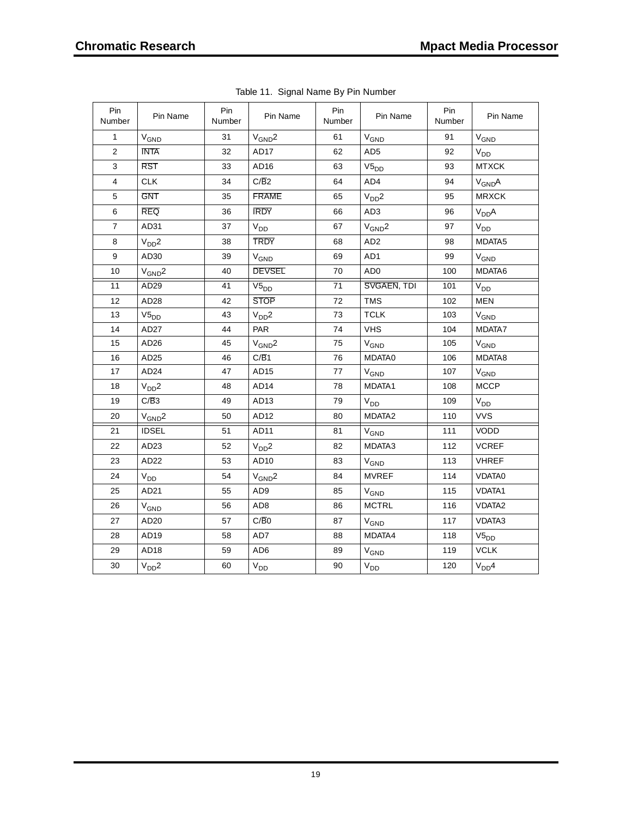| Pin<br>Number  | Pin Name          | Pin<br>Number | Pin Name          | Pin<br>Number | Pin Name               | Pin<br>Number | Pin Name           |
|----------------|-------------------|---------------|-------------------|---------------|------------------------|---------------|--------------------|
| $\mathbf{1}$   | V <sub>GND</sub>  | 31            | $V_{GND}$ 2       | 61            | V <sub>GND</sub>       | 91            | $V_{\mathsf{GND}}$ |
| $\mathbf 2$    | <b>INTA</b>       | 32            | AD17              | 62            | AD <sub>5</sub>        | 92            | $V_{DD}$           |
| 3              | <b>RST</b>        | 33            | AD16              | 63            | $V5_{DD}$              | 93            | <b>MTXCK</b>       |
| $\overline{4}$ | <b>CLK</b>        | 34            | C/B2              | 64            | AD4                    | 94            | $V_{GND}A$         |
| 5              | <b>GNT</b>        | 35            | <b>FRAME</b>      | 65            | V <sub>DD</sub> 2      | 95            | <b>MRXCK</b>       |
| $\,6$          | <b>REQ</b>        | 36            | <b>IRDY</b>       | 66            | AD <sub>3</sub>        | 96            | V <sub>DD</sub> A  |
| $\overline{7}$ | AD31              | 37            | $\rm V_{DD}$      | 67            | $V_{GND}2$             | 97            | V <sub>DD</sub>    |
| 8              | V <sub>DD</sub> 2 | 38            | <b>TRDY</b>       | 68            | AD <sub>2</sub>        | 98            | MDATA5             |
| 9              | AD <sub>30</sub>  | 39            | $V_{GND}$         | 69            | AD1                    | 99            | $V_{GND}$          |
| 10             | $V_{GND}2$        | 40            | <b>DEVSEL</b>     | 70            | AD <sub>0</sub>        | 100           | MDATA6             |
| 11             | AD <sub>29</sub>  | 41            | $V5_{DD}$         | 71            | SVGAEN, TDI            | 101           | V <sub>DD</sub>    |
| 12             | AD <sub>28</sub>  | 42            | <b>STOP</b>       | 72            | <b>TMS</b>             | 102           | <b>MEN</b>         |
| 13             | $V5_{DD}$         | 43            | V <sub>DD</sub> 2 | 73            | <b>TCLK</b>            | 103           | $V_{\mathsf{GND}}$ |
| 14             | AD27              | 44            | <b>PAR</b>        | 74            | VHS                    | 104           | MDATA7             |
| 15             | AD <sub>26</sub>  | 45            | $V_{GND}$ 2       | 75            | $V_{\mathsf{GND}}$     | 105           | $V_{\mathsf{GND}}$ |
| 16             | AD <sub>25</sub>  | 46            | C/B1              | 76            | MDATA0                 | 106           | MDATA8             |
| 17             | AD <sub>24</sub>  | 47            | AD <sub>15</sub>  | 77            | $V_{GND}$              | 107           | $\rm V_{GND}$      |
| 18             | V <sub>DD</sub> 2 | 48            | AD <sub>14</sub>  | 78            | MDATA1                 | 108           | <b>MCCP</b>        |
| 19             | C/B3              | 49            | AD <sub>13</sub>  | 79            | V <sub>DD</sub>        | 109           | $V_{DD}$           |
| 20             | $V_{GND}$ 2       | 50            | AD <sub>12</sub>  | 80            | MDATA <sub>2</sub>     | 110           | <b>VVS</b>         |
| 21             | <b>IDSEL</b>      | 51            | AD11              | 81            | V <sub>GND</sub>       | 111           | VODD               |
| 22             | AD <sub>23</sub>  | 52            | V <sub>DD</sub> 2 | 82            | MDATA3                 | 112           | <b>VCREF</b>       |
| 23             | AD22              | 53            | AD10              | 83            | V <sub>GND</sub>       | 113           | <b>VHREF</b>       |
| 24             | $V_{DD}$          | 54            | $V_{GND}$ 2       | 84            | <b>MVREF</b>           | 114           | VDATA0             |
| 25             | AD21              | 55            | AD <sub>9</sub>   | 85            | <b>V<sub>GND</sub></b> | 115           | <b>VDATA1</b>      |
| 26             | $V_{GND}$         | 56            | AD <sub>8</sub>   | 86            | <b>MCTRL</b>           | 116           | VDATA <sub>2</sub> |
| 27             | AD <sub>20</sub>  | 57            | C/B0              | 87            | $V_{GND}$              | 117           | VDATA3             |
| 28             | AD <sub>19</sub>  | 58            | AD7               | 88            | MDATA4                 | 118           | $V5_{DD}$          |
| 29             | AD <sub>18</sub>  | 59            | AD <sub>6</sub>   | 89            | V <sub>GND</sub>       | 119           | <b>VCLK</b>        |
| 30             | V <sub>DD</sub> 2 | 60            | $\rm V_{DD}$      | 90            | $V_{DD}$               | 120           | V <sub>DD</sub> 4  |

Table 11. Signal Name By Pin Number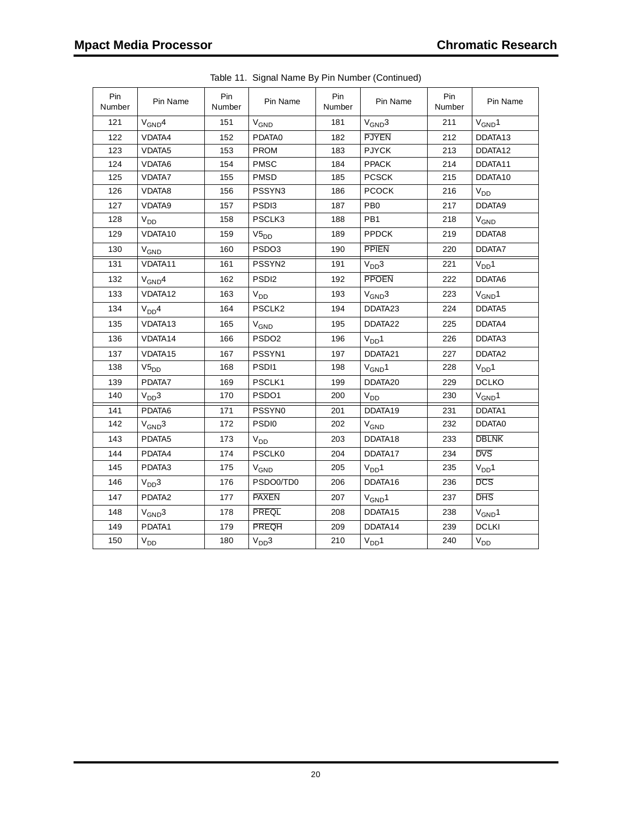| Pin<br>Number | Pin Name          | Pin<br>Number | Pin Name               | Pin<br>Number | Pin Name          | Pin<br>Number | Pin Name               |
|---------------|-------------------|---------------|------------------------|---------------|-------------------|---------------|------------------------|
| 121           | $V_{GND}4$        | 151           | $V_{GND}$              | 181           | $V_{GND}3$        | 211           | $V_{GND}1$             |
| 122           | VDATA4            | 152           | PDATA0                 | 182           | <b>PJYEN</b>      | 212           | DDATA13                |
| 123           | VDATA5            | 153           | <b>PROM</b>            | 183           | <b>PJYCK</b>      | 213           | DDATA12                |
| 124           | VDATA6            | 154           | <b>PMSC</b>            | 184           | <b>PPACK</b>      | 214           | DDATA11                |
| 125           | <b>VDATA7</b>     | 155           | <b>PMSD</b>            | 185           | <b>PCSCK</b>      | 215           | DDATA10                |
| 126           | VDATA8            | 156           | PSSYN3                 | 186           | <b>PCOCK</b>      | 216           | $V_{DD}$               |
| 127           | VDATA9            | 157           | PSD <sub>13</sub>      | 187           | PB <sub>0</sub>   | 217           | DDATA9                 |
| 128           | V <sub>DD</sub>   | 158           | PSCLK3                 | 188           | PB1               | 218           | <b>V<sub>GND</sub></b> |
| 129           | VDATA10           | 159           | $V5_{DD}$              | 189           | <b>PPDCK</b>      | 219           | DDATA8                 |
| 130           | $V_{GND}$         | 160           | PSDO3                  | 190           | <b>PPIEN</b>      | 220           | DDATA7                 |
| 131           | VDATA11           | 161           | PSSYN2                 | 191           | V <sub>DD</sub> 3 | 221           | V <sub>DD</sub> 1      |
| 132           | $V_{GND}4$        | 162           | PSD <sub>12</sub>      | 192           | <b>PPOEN</b>      | 222           | DDATA6                 |
| 133           | VDATA12           | 163           | V <sub>DD</sub>        | 193           | $V_{GND}3$        | 223           | $V_{GND}1$             |
| 134           | V <sub>DD</sub> 4 | 164           | PSCLK2                 | 194           | DDATA23           | 224           | DDATA5                 |
| 135           | VDATA13           | 165           | V <sub>GND</sub>       | 195           | DDATA22           | 225           | DDATA4                 |
| 136           | VDATA14           | 166           | PSDO <sub>2</sub>      | 196           | V <sub>DD</sub> 1 | 226           | DDATA3                 |
| 137           | VDATA15           | 167           | PSSYN1                 | 197           | DDATA21           | 227           | DDATA <sub>2</sub>     |
| 138           | $V5_{DD}$         | 168           | PSDI1                  | 198           | $V_{GND}1$        | 228           | V <sub>DD</sub> 1      |
| 139           | PDATA7            | 169           | PSCLK1                 | 199           | DDATA20           | 229           | <b>DCLKO</b>           |
| 140           | V <sub>DD</sub> 3 | 170           | PSDO1                  | 200           | $V_{DD}$          | 230           | $V_{GND}1$             |
| 141           | PDATA6            | 171           | PSSYN0                 | 201           | DDATA19           | 231           | DDATA1                 |
| 142           | $V_{GND}3$        | 172           | PSDI0                  | 202           | V <sub>GND</sub>  | 232           | DDATA0                 |
| 143           | PDATA5            | 173           | V <sub>DD</sub>        | 203           | DDATA18           | 233           | <b>DBLNK</b>           |
| 144           | PDATA4            | 174           | <b>PSCLK0</b>          | 204           | DDATA17           | 234           | <b>DVS</b>             |
| 145           | PDATA3            | 175           | <b>V<sub>GND</sub></b> | 205           | V <sub>DD</sub> 1 | 235           | V <sub>DD</sub> 1      |
| 146           | V <sub>DD</sub> 3 | 176           | PSDO0/TD0              | 206           | DDATA16           | 236           | <b>DCS</b>             |
| 147           | PDATA2            | 177           | <b>PAXEN</b>           | 207           | $V_{GND}1$        | 237           | <b>DHS</b>             |
| 148           | $V_{GND}3$        | 178           | <b>PREQL</b>           | 208           | DDATA15           | 238           | $V_{GND}1$             |
| 149           | PDATA1            | 179           | <b>PREQH</b>           | 209           | DDATA14           | 239           | <b>DCLKI</b>           |
| 150           | V <sub>DD</sub>   | 180           | V <sub>DD</sub> 3      | 210           | V <sub>DD</sub> 1 | 240           | V <sub>DD</sub>        |

Table 11. Signal Name By Pin Number (Continued)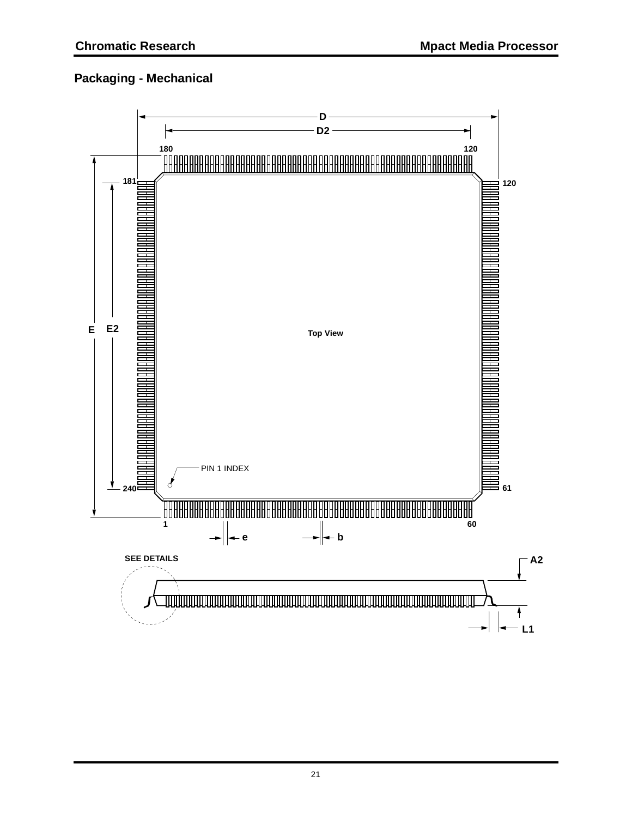### **Packaging - Mechanical**